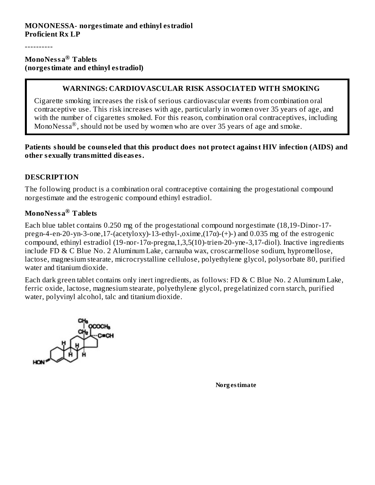----------

#### **MonoNessa Tablets ® (norgestimate and ethinyl estradiol)**

#### **WARNINGS: CARDIOVASCULAR RISK ASSOCIATED WITH SMOKING**

Cigarette smoking increases the risk of serious cardiovascular events from combination oral contraceptive use. This risk increases with age, particularly in women over 35 years of age, and with the number of cigarettes smoked. For this reason, combination oral contraceptives, including MonoNessa<sup>®</sup>, should not be used by women who are over 35 years of age and smoke.

#### **Patients should be couns eled that this product does not protect against HIV infection (AIDS) and other s exually transmitted dis eas es.**

#### **DESCRIPTION**

The following product is a combination oral contraceptive containing the progestational compound norgestimate and the estrogenic compound ethinyl estradiol.

#### **MonoNessa Tablets ®**

Each blue tablet contains 0.250 mg of the progestational compound norgestimate (18,19-Dinor-17 pregn-4-en-20-yn-3-one,17-(acetyloxy)-13-ethyl-,oxime, $(17\alpha)$ -(+)-) and 0.035 mg of the estrogenic compound, ethinyl estradiol (19-nor-17α-pregna,1,3,5(10)-trien-20-yne-3,17-diol). Inactive ingredients include FD & C Blue No. 2 Aluminum Lake, carnauba wax, croscarmellose sodium, hypromellose, lactose, magnesium stearate, microcrystalline cellulose, polyethylene glycol, polysorbate 80, purified water and titanium dioxide.

Each dark green tablet contains only inert ingredients, as follows: FD & C Blue No. 2 Aluminum Lake, ferric oxide, lactose, magnesium stearate, polyethylene glycol, pregelatinized corn starch, purified water, polyvinyl alcohol, talc and titanium dioxide.



**Norg estimate**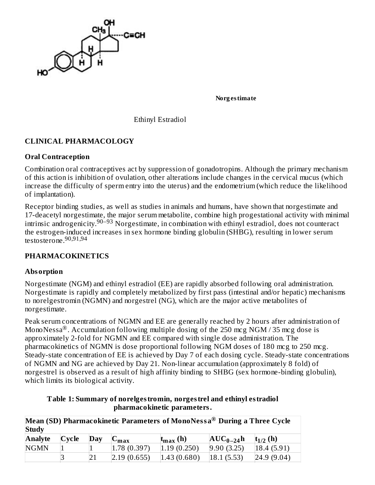

**Norg estimate**

Ethinyl Estradiol

#### **CLINICAL PHARMACOLOGY**

#### **Oral Contraception**

Combination oral contraceptives act by suppression of gonadotropins. Although the primary mechanism of this action is inhibition of ovulation, other alterations include changes in the cervical mucus (which increase the difficulty of sperm entry into the uterus) and the endometrium (which reduce the likelihood of implantation).

Receptor binding studies, as well as studies in animals and humans, have shown that norgestimate and 17-deacetyl norgestimate, the major serum metabolite, combine high progestational activity with minimal intrinsic androgenicity.<sup>90–93</sup> Norgestimate, in combination with ethinyl estradiol, does not counteract the estrogen-induced increases in sex hormone binding globulin (SHBG), resulting in lower serum testosterone. 90,91,94

#### **PHARMACOKINETICS**

#### **Absorption**

Norgestimate (NGM) and ethinyl estradiol (EE) are rapidly absorbed following oral administration. Norgestimate is rapidly and completely metabolized by first pass (intestinal and/or hepatic) mechanisms to norelgestromin (NGMN) and norgestrel (NG), which are the major active metabolites of norgestimate.

Peak serum concentrations of NGMN and EE are generally reached by 2 hours after administration of MonoNessa<sup>®</sup>. Accumulation following multiple dosing of the 250 mcg NGM / 35 mcg dose is approximately 2-fold for NGMN and EE compared with single dose administration. The pharmacokinetics of NGMN is dose proportional following NGM doses of 180 mcg to 250 mcg. Steady-state concentration of EE is achieved by Day 7 of each dosing cycle. Steady-state concentrations of NGMN and NG are achieved by Day 21. Non-linear accumulation (approximately 8 fold) of norgestrel is observed as a result of high affinity binding to SHBG (sex hormone-binding globulin), which limits its biological activity.

**Table 1: Summary of norelgestromin, norgestrel and ethinyl estradiol pharmacokinetic parameters.**

| Mean (SD) Pharmacokinetic Parameters of MonoNessa® During a Three Cycle<br>Study |       |     |                             |                   |               |                |
|----------------------------------------------------------------------------------|-------|-----|-----------------------------|-------------------|---------------|----------------|
| <b>Analyte</b>                                                                   | Cycle | Day | $\mathbf{C}_{\mathbf{max}}$ | $t_{\rm max}$ (h) | $AUC_{0-24}h$ | $ t_{1/2}(h) $ |
| <b>NGMN</b>                                                                      |       |     | 1.78(0.397)                 | 1.19(0.250)       | 9.90(3.25)    | 18.4(5.91)     |
|                                                                                  |       | 21  | 2.19(0.655)                 | 1.43(0.680)       | 18.1(5.53)    | 24.9(9.04)     |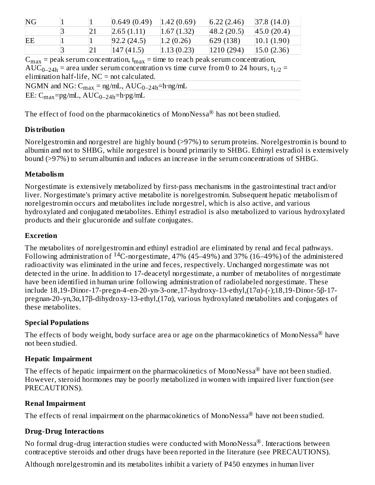| NG |  | 0.649(0.49) | 1.42(0.69) | $\vert 6.22 \, (2.46) \vert$ | $ 37.8 \ (14.0)$ |
|----|--|-------------|------------|------------------------------|------------------|
|    |  | 2.65(1.11)  | 1.67(1.32) | 48.2(20.5)                   | 45.0(20.4)       |
| EE |  | 92.2(24.5)  | 1.2(0.26)  | 629(138)                     | 10.1(1.90)       |
|    |  | 147(41.5)   | 1.13(0.23) | 1210(294)                    | 15.0(2.36)       |

 $C_{max}$  = peak serum concentration,  $t_{max}$  = time to reach peak serum concentration,  $AUC_{0-24h}$  = area under serum concentration vs time curve from 0 to 24 hours,  $t_{1/2}$  = elimination half-life, NC = not calculated.

NGMN and NG:  $C_{\text{max}} = \text{ng/mL}$ ,  $\text{AUC}_{0-24h} = h \cdot \text{ng/mL}$  $EE: C_{\text{max}} = pg/mL$ ,  $AUC_{0-24h} = h \cdot pg/mL$ 

The effect of food on the pharmacokinetics of MonoNessa $^{\circledR}$  has not been studied.

#### **Distribution**

Norelgestromin and norgestrel are highly bound (>97%) to serum proteins. Norelgestromin is bound to albumin and not to SHBG, while norgestrel is bound primarily to SHBG. Ethinyl estradiol is extensively bound (>97%) to serum albumin and induces an increase in the serum concentrations of SHBG.

#### **Metabolism**

Norgestimate is extensively metabolized by first-pass mechanisms in the gastrointestinal tract and/or liver. Norgestimate's primary active metabolite is norelgestromin. Subsequent hepatic metabolism of norelgestromin occurs and metabolites include norgestrel, which is also active, and various hydroxylated and conjugated metabolites. Ethinyl estradiol is also metabolized to various hydroxylated products and their glucuronide and sulfate conjugates.

#### **Excretion**

The metabolites of norelgestromin and ethinyl estradiol are eliminated by renal and fecal pathways. Following administration of  $^{14}$ C-norgestimate, 47% (45–49%) and 37% (16–49%) of the administered radioactivity was eliminated in the urine and feces, respectively. Unchanged norgestimate was not detected in the urine. In addition to 17-deacetyl norgestimate, a number of metabolites of norgestimate have been identified in human urine following administration of radiolabeled norgestimate. These include 18,19-Dinor-17-pregn-4-en-20-yn-3-one,17-hydroxy-13-ethyl,(17α)-(-);18,19-Dinor-5β-17 pregnan-20-yn,3α,17β-dihydroxy-13-ethyl,(17α), various hydroxylated metabolites and conjugates of these metabolites.

# **Special Populations**

The effects of body weight, body surface area or age on the pharmacokinetics of MonoNessa $^\circledR$  have not been studied.

# **Hepatic Impairment**

The effects of hepatic impairment on the pharmacokinetics of MonoNessa $^\circledR$  have not been studied. However, steroid hormones may be poorly metabolized in women with impaired liver function (see PRECAUTIONS).

#### **Renal Impairment**

The effects of renal impairment on the pharmacokinetics of MonoNessa $^{\circledR}$  have not been studied.

# **Drug-Drug Interactions**

No formal drug-drug interaction studies were conducted with MonoNessa $^\circledR$ . Interactions between contraceptive steroids and other drugs have been reported in the literature (see PRECAUTIONS).

Although norelgestromin and its metabolites inhibit a variety of P450 enzymes in human liver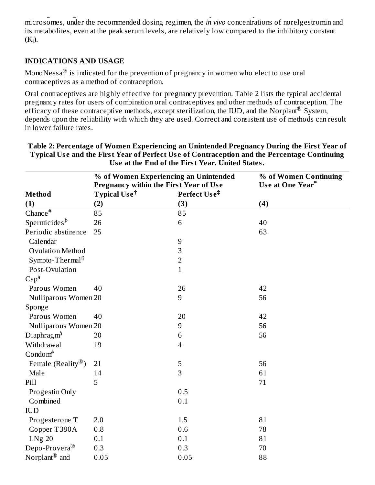Although norelgestromin and its metabolites inhibit a variety of P450 enzymes in human liver microsomes, under the recommended dosing regimen, the *in vivo* concentrations of norelgestromin and its metabolites, even at the peak serum levels, are relatively low compared to the inhibitory constant  $(K_i)$ .

## **INDICATIONS AND USAGE**

MonoNessa $^\circledR$  is indicated for the prevention of pregnancy in women who elect to use oral contraceptives as a method of contraception.

Oral contraceptives are highly effective for pregnancy prevention. Table 2 lists the typical accidental pregnancy rates for users of combination oral contraceptives and other methods of contraception. The efficacy of these contraceptive methods, except sterilization, the IUD, and the Norplant<sup>®</sup> System, depends upon the reliability with which they are used. Correct and consistent use of methods can result in lower failure rates.

|                                | <b>Pregnancy within the First Year of Use</b> | % of Women Experiencing an Unintended | % of Women Continuing<br>Use at One Year* |
|--------------------------------|-----------------------------------------------|---------------------------------------|-------------------------------------------|
| <b>Method</b>                  | <b>Typical Use<sup>†</sup></b>                | Perfect Use <sup>‡</sup>              |                                           |
| (1)                            | (2)                                           | (3)                                   | (4)                                       |
| Chance $\overline{^{\#}}$      | 85                                            | 85                                    |                                           |
| Spermicides <sup>b</sup>       | 26                                            | 6                                     | 40                                        |
| Periodic abstinence            | 25                                            |                                       | 63                                        |
| Calendar                       |                                               | $9\,$                                 |                                           |
| <b>Ovulation Method</b>        |                                               | 3                                     |                                           |
| Sympto-Thermal <sup>ß</sup>    |                                               | $\overline{2}$                        |                                           |
| Post-Ovulation                 |                                               | $\mathbf{1}$                          |                                           |
| Cap <sup>à</sup>               |                                               |                                       |                                           |
| Parous Women                   | 40                                            | 26                                    | 42                                        |
| Nulliparous Women 20           |                                               | 9                                     | 56                                        |
| Sponge                         |                                               |                                       |                                           |
| Parous Women                   | 40                                            | 20                                    | 42                                        |
| Nulliparous Women 20           |                                               | 9                                     | 56                                        |
| Diaphragm <sup>à</sup>         | 20                                            | 6                                     | 56                                        |
| Withdrawal                     | 19                                            | $\overline{4}$                        |                                           |
| Condom <sup>è</sup>            |                                               |                                       |                                           |
| Female (Reality <sup>®</sup> ) | 21                                            | 5                                     | 56                                        |
| Male                           | 14                                            | 3                                     | 61                                        |
| Pill                           | 5                                             |                                       | 71                                        |
| Progestin Only                 |                                               | 0.5                                   |                                           |
| Combined                       |                                               | 0.1                                   |                                           |
| <b>IUD</b>                     |                                               |                                       |                                           |
| Progesterone T                 | 2.0                                           | 1.5                                   | 81                                        |
| Copper T380A                   | 0.8                                           | 0.6                                   | 78                                        |
| $LNg$ 20                       | 0.1                                           | 0.1                                   | 81                                        |
| Depo-Provera <sup>®</sup>      | 0.3                                           | 0.3                                   | 70                                        |
| Norplant® and                  | 0.05                                          | 0.05                                  | 88                                        |

**Table 2: Percentage of Women Experiencing an Unintended Pregnancy During the First Year of Typical Us e and the First Year of Perfect Us e of Contraception and the Percentage Continuing Us e at the End of the First Year. United States.**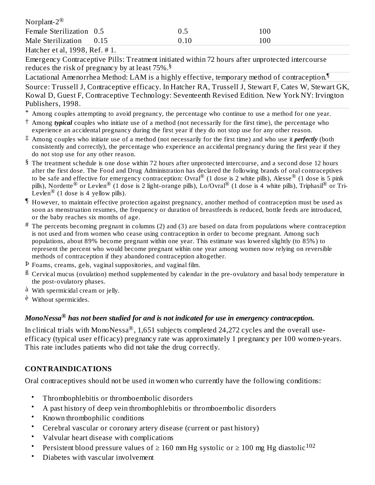| Norplant- $2^{\circledR}$           |      |     |
|-------------------------------------|------|-----|
| Female Sterilization 0.5            | 0.5  | 100 |
| Male Sterilization 0.15             | 0.10 | 100 |
| 그는 그 사람들은 그 사람들은 그 사람들을 지르는 것이 없었다. |      |     |

#### Hatcher et al, 1998, Ref. # 1.

Emergency Contraceptive Pills: Treatment initiated within 72 hours after unprotected intercourse reduces the risk of pregnancy by at least 75%. §

Lactational Amenorrhea Method: LAM is a highly effective, temporary method of contraception. $^\P$ 

Source: Trussell J, Contraceptive efficacy. In Hatcher RA, Trussell J, Stewart F, Cates W, Stewart GK, Kowal D, Guest F, Contraceptive Technology: Seventeenth Revised Edition. New York NY: Irvington Publishers, 1998.

\* Among couples attempting to avoid pregnancy, the percentage who continue to use a method for one year.

- † Among *typical* couples who initiate use of a method (not necessarily for the first time), the percentage who experience an accidental pregnancy during the first year if they do not stop use for any other reason.
- ‡ Among couples who initiate use of a method (not necessarily for the first time) and who use it *perfectly* (both consistently and correctly), the percentage who experience an accidental pregnancy during the first year if they do not stop use for any other reason.
- § The treatment schedule is one dose within 72 hours after unprotected intercourse, and a second dose 12 hours after the first dose. The Food and Drug Administration has declared the following brands of oral contraceptives to be safe and effective for emergency contraception: Ovral<sup>®</sup> (1 dose is 2 white pills), Alesse<sup>®</sup> (1 dose is 5 pink pills), Nordette® or Levlen® (1 dose is 2 light-orange pills), Lo/Ovral® (1 dose is 4 white pills), Triphasil® or Tri-Levlen<sup>®</sup> (1 dose is 4 yellow pills).
- ¶ However, to maintain effective protection against pregnancy, another method of contraception must be used as soon as menstruation resumes, the frequency or duration of breastfeeds is reduced, bottle feeds are introduced, or the baby reaches six months of age.
- $^\#$  The percents becoming pregnant in columns (2) and (3) are based on data from populations where contraception is not used and from women who cease using contraception in order to become pregnant. Among such populations, about 89% become pregnant within one year. This estimate was lowered slightly (to 85%) to represent the percent who would become pregnant within one year among women now relying on reversible methods of contraception if they abandoned contraception altogether.
- $^{\rm p}$  Foams, creams, gels, vaginal suppositories, and vaginal film.
- $^{\rm{B}}$  Cervical mucus (ovulation) method supplemented by calendar in the pre-ovulatory and basal body temperature in the post-ovulatory phases.
- à With spermicidal cream or jelly.
- è Without spermicides.

#### *MonoNessa has not been studied for and is not indicated for use in emergency contraception. ®*

In clinical trials with MonoNessa $^\circledR$ , 1,651 subjects completed 24,272 cycles and the overall useefficacy (typical user efficacy) pregnancy rate was approximately 1 pregnancy per 100 women-years. This rate includes patients who did not take the drug correctly.

#### **CONTRAINDICATIONS**

Oral contraceptives should not be used in women who currently have the following conditions:

- Thrombophlebitis or thromboembolic disorders
- A past history of deep vein thrombophlebitis or thromboembolic disorders
- Known thrombophilic conditions
- Cerebral vascular or coronary artery disease (current or past history)
- Valvular heart disease with complications
- Persistent blood pressure values of  $\geq 160$  mm Hg systolic or  $\geq 100$  mg Hg diastolic $^{102}$
- Diabetes with vascular involvement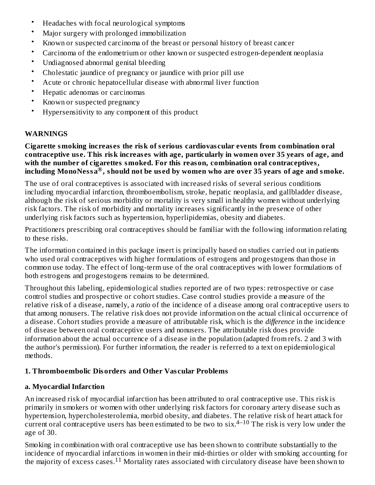- Headaches with focal neurological symptoms
- Major surgery with prolonged immobilization
- Known or suspected carcinoma of the breast or personal history of breast cancer
- Carcinoma of the endometrium or other known or suspected estrogen-dependent neoplasia
- Undiagnosed abnormal genital bleeding
- Cholestatic jaundice of pregnancy or jaundice with prior pill use
- Acute or chronic hepatocellular disease with abnormal liver function
- Hepatic adenomas or carcinomas
- Known or suspected pregnancy
- Hypersensitivity to any component of this product

#### **WARNINGS**

**Cigarette smoking increas es the risk of s erious cardiovas cular events from combination oral contraceptive us e. This risk increas es with age, particularly in women over 35 years of age, and with the number of cigarettes smoked. For this reason, combination oral contraceptives,** including MonoNessa $^{\circledR}$ , should not be used by women who are over 35 years of age and smoke.

The use of oral contraceptives is associated with increased risks of several serious conditions including myocardial infarction, thromboembolism, stroke, hepatic neoplasia, and gallbladder disease, although the risk of serious morbidity or mortality is very small in healthy women without underlying risk factors. The risk of morbidity and mortality increases significantly in the presence of other underlying risk factors such as hypertension, hyperlipidemias, obesity and diabetes.

Practitioners prescribing oral contraceptives should be familiar with the following information relating to these risks.

The information contained in this package insert is principally based on studies carried out in patients who used oral contraceptives with higher formulations of estrogens and progestogens than those in common use today. The effect of long-term use of the oral contraceptives with lower formulations of both estrogens and progestogens remains to be determined.

Throughout this labeling, epidemiological studies reported are of two types: retrospective or case control studies and prospective or cohort studies. Case control studies provide a measure of the relative risk of a disease, namely, a *ratio* of the incidence of a disease among oral contraceptive users to that among nonusers. The relative risk does not provide information on the actual clinical occurrence of a disease. Cohort studies provide a measure of attributable risk, which is the *difference* in the incidence of disease between oral contraceptive users and nonusers. The attributable risk does provide information about the actual occurrence of a disease in the population (adapted from refs. 2 and 3 with the author's permission). For further information, the reader is referred to a text on epidemiological methods.

# **1. Thromboembolic Disorders and Other Vas cular Problems**

#### **a. Myocardial Infarction**

An increased risk of myocardial infarction has been attributed to oral contraceptive use. This risk is primarily in smokers or women with other underlying risk factors for coronary artery disease such as hypertension, hypercholesterolemia, morbid obesity, and diabetes. The relative risk of heart attack for current oral contraceptive users has been estimated to be two to  $s$ ix. $4-10$  The risk is very low under the age of 30.

Smoking in combination with oral contraceptive use has been shown to contribute substantially to the incidence of myocardial infarctions in women in their mid-thirties or older with smoking accounting for the majority of excess cases.<sup>11</sup> Mortality rates associated with circulatory disease have been shown to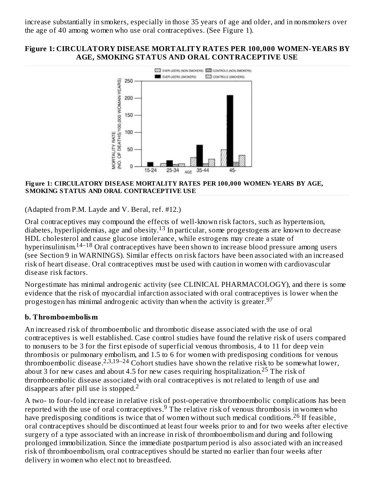increase substantially in smokers, especially in those 35 years of age and older, and in nonsmokers over the age of 40 among women who use oral contraceptives. (See Figure 1).

#### **Figure 1: CIRCULATORY DISEASE MORTALITY RATES PER 100,000 WOMEN-YEARS BY AGE, SMOKING STATUS AND ORAL CONTRACEPTIVE USE**



#### **Fig ure 1: CIRCULATORY DISEASE MORTALITY RATES PER 100,000 WOMEN-YEARS BY AGE, SMOKING STATUS AND ORAL CONTRACEPTIVE USE**

(Adapted from P.M. Layde and V. Beral, ref. #12.)

Oral contraceptives may compound the effects of well-known risk factors, such as hypertension, diabetes, hyperlipidemias, age and obesity.<sup>13</sup> In particular, some progestogens are known to decrease HDL cholesterol and cause glucose intolerance, while estrogens may create a state of hyperinsulinism.  $14-18$  Oral contraceptives have been shown to increase blood pressure among users (see Section 9 in WARNINGS). Similar effects on risk factors have been associated with an increased risk of heart disease. Oral contraceptives must be used with caution in women with cardiovascular disease risk factors.

Norgestimate has minimal androgenic activity (see CLINICAL PHARMACOLOGY), and there is some evidence that the risk of myocardial infarction associated with oral contraceptives is lower when the progestogen has minimal androgenic activity than when the activity is greater.<sup>97</sup>

# **b. Thromboembolism**

An increased risk of thromboembolic and thrombotic disease associated with the use of oral contraceptives is well established. Case control studies have found the relative risk of users compared to nonusers to be 3 for the first episode of superficial venous thrombosis, 4 to 11 for deep vein thrombosis or pulmonary embolism, and 1.5 to 6 for women with predisposing conditions for venous thromboembolic disease.<sup>2,3,19–24</sup> Cohort studies have shown the relative risk to be somewhat lower, about 3 for new cases and about 4.5 for new cases requiring hospitalization. $^{25}$  The risk of thromboembolic disease associated with oral contraceptives is not related to length of use and disappears after pill use is stopped.<sup>2</sup>

A two- to four-fold increase in relative risk of post-operative thromboembolic complications has been reported with the use of oral contraceptives.  $9$  The relative risk of venous thrombosis in women who have predisposing conditions is twice that of women without such medical conditions.<sup>26</sup> If feasible, oral contraceptives should be discontinued at least four weeks prior to and for two weeks after elective surgery of a type associated with an increase in risk of thromboembolism and during and following prolonged immobilization. Since the immediate postpartum period is also associated with an increased risk of thromboembolism, oral contraceptives should be started no earlier than four weeks after delivery in women who elect not to breastfeed.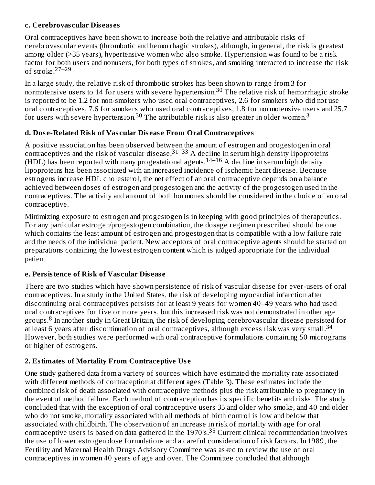#### **c. Cerebrovas cular Dis eas es**

Oral contraceptives have been shown to increase both the relative and attributable risks of cerebrovascular events (thrombotic and hemorrhagic strokes), although, in general, the risk is greatest among older (>35 years), hypertensive women who also smoke. Hypertension was found to be a risk factor for both users and nonusers, for both types of strokes, and smoking interacted to increase the risk of stroke. 27–29

In a large study, the relative risk of thrombotic strokes has been shown to range from 3 for normotensive users to 14 for users with severe hypertension.<sup>30</sup> The relative risk of hemorrhagic stroke is reported to be 1.2 for non-smokers who used oral contraceptives, 2.6 for smokers who did not use oral contraceptives, 7.6 for smokers who used oral contraceptives, 1.8 for normotensive users and 25.7 for users with severe hypertension. $\rm^{30}$  The attributable risk is also greater in older women. $\rm^3$ 

# **d. Dos e-Related Risk of Vas cular Dis eas e From Oral Contraceptives**

A positive association has been observed between the amount of estrogen and progestogen in oral contraceptives and the risk of vascular disease. $31-33$  A decline in serum high density lipoproteins (HDL) has been reported with many progestational agents.<sup>14–16</sup> A decline in serum high density lipoproteins has been associated with an increased incidence of ischemic heart disease. Because estrogens increase HDL cholesterol, the net effect of an oral contraceptive depends on a balance achieved between doses of estrogen and progestogen and the activity of the progestogen used in the contraceptives. The activity and amount of both hormones should be considered in the choice of an oral contraceptive.

Minimizing exposure to estrogen and progestogen is in keeping with good principles of therapeutics. For any particular estrogen/progestogen combination, the dosage regimen prescribed should be one which contains the least amount of estrogen and progestogen that is compatible with a low failure rate and the needs of the individual patient. New acceptors of oral contraceptive agents should be started on preparations containing the lowest estrogen content which is judged appropriate for the individual patient.

# **e. Persistence of Risk of Vas cular Dis eas e**

There are two studies which have shown persistence of risk of vascular disease for ever-users of oral contraceptives. In a study in the United States, the risk of developing myocardial infarction after discontinuing oral contraceptives persists for at least 9 years for women 40–49 years who had used oral contraceptives for five or more years, but this increased risk was not demonstrated in other age groups. $8$  In another study in Great Britain, the risk of developing cerebrovascular disease persisted for at least 6 years after discontinuation of oral contraceptives, although excess risk was very small.<sup>34</sup> However, both studies were performed with oral contraceptive formulations containing 50 micrograms or higher of estrogens.

# **2. Estimates of Mortality From Contraceptive Us e**

One study gathered data from a variety of sources which have estimated the mortality rate associated with different methods of contraception at different ages (Table 3). These estimates include the combined risk of death associated with contraceptive methods plus the risk attributable to pregnancy in the event of method failure. Each method of contraception has its specific benefits and risks. The study concluded that with the exception of oral contraceptive users 35 and older who smoke, and 40 and older who do not smoke, mortality associated with all methods of birth control is low and below that associated with childbirth. The observation of an increase in risk of mortality with age for oral contraceptive users is based on data gathered in the  $1970$ 's.<sup>35</sup> Current clinical recommendation involves the use of lower estrogen dose formulations and a careful consideration of risk factors. In 1989, the Fertility and Maternal Health Drugs Advisory Committee was asked to review the use of oral contraceptives in women 40 years of age and over. The Committee concluded that although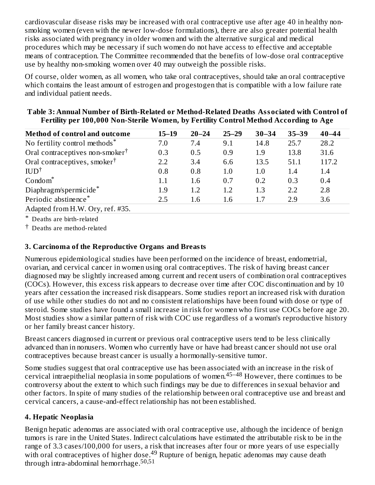cardiovascular disease risks may be increased with oral contraceptive use after age 40 in healthy nonsmoking women (even with the newer low-dose formulations), there are also greater potential health risks associated with pregnancy in older women and with the alternative surgical and medical procedures which may be necessary if such women do not have access to effective and acceptable means of contraception. The Committee recommended that the benefits of low-dose oral contraceptive use by healthy non-smoking women over 40 may outweigh the possible risks.

Of course, older women, as all women, who take oral contraceptives, should take an oral contraceptive which contains the least amount of estrogen and progestogen that is compatible with a low failure rate and individual patient needs.

| <b>Method of control and outcome</b>        | $15 - 19$ | $20 - 24$ | $25 - 29$ | $30 - 34$ | $35 - 39$ | $40 - 44$ |
|---------------------------------------------|-----------|-----------|-----------|-----------|-----------|-----------|
| No fertility control methods*               | 7.0       | 7.4       | 9.1       | 14.8      | 25.7      | 28.2      |
| Oral contraceptives non-smoker <sup>†</sup> | 0.3       | 0.5       | 0.9       | 1.9       | 13.8      | 31.6      |
| Oral contraceptives, smoker <sup>†</sup>    | 2.2       | 3.4       | 6.6       | 13.5      | 51.1      | 117.2     |
| $IUD^{\dagger}$                             | 0.8       | 0.8       | 1.0       | 1.0       | 1.4       | 1.4       |
| $Condom^*$                                  | 1.1       | 1.6       | 0.7       | 0.2       | 0.3       | 0.4       |
| Diaphragm/spermicide*                       | 1.9       | 1.2       | 1.2       | 1.3       | 2.2       | 2.8       |
| Periodic abstinence <sup>*</sup>            | 2.5       | 1.6       | 1.6       | 1.7       | 2.9       | 3.6       |
| Adapted from H.W. Ory, ref. #35.            |           |           |           |           |           |           |

**Table 3: Annual Number of Birth-Related or Method-Related Deaths Associated with Control of Fertility per 100,000 Non-Sterile Women, by Fertility Control Method According to Age**

\* Deaths are birth-related

† Deaths are method-related

# **3. Carcinoma of the Reproductive Organs and Breasts**

Numerous epidemiological studies have been performed on the incidence of breast, endometrial, ovarian, and cervical cancer in women using oral contraceptives. The risk of having breast cancer diagnosed may be slightly increased among current and recent users of combination oral contraceptives (COCs). However, this excess risk appears to decrease over time after COC discontinuation and by 10 years after cessation the increased risk disappears. Some studies report an increased risk with duration of use while other studies do not and no consistent relationships have been found with dose or type of steroid. Some studies have found a small increase in risk for women who first use COCs before age 20. Most studies show a similar pattern of risk with COC use regardless of a woman's reproductive history or her family breast cancer history.

Breast cancers diagnosed in current or previous oral contraceptive users tend to be less clinically advanced than in nonusers. Women who currently have or have had breast cancer should not use oral contraceptives because breast cancer is usually a hormonally-sensitive tumor.

Some studies suggest that oral contraceptive use has been associated with an increase in the risk of cervical intraepithelial neoplasia in some populations of women.  $45-48$  However, there continues to be controversy about the extent to which such findings may be due to differences in sexual behavior and other factors. In spite of many studies of the relationship between oral contraceptive use and breast and cervical cancers, a cause-and-effect relationship has not been established.

#### **4. Hepatic Neoplasia**

Benign hepatic adenomas are associated with oral contraceptive use, although the incidence of benign tumors is rare in the United States. Indirect calculations have estimated the attributable risk to be in the range of 3.3 cases/100,000 for users, a risk that increases after four or more years of use especially with oral contraceptives of higher dose.<sup>49</sup> Rupture of benign, hepatic adenomas may cause death through intra-abdominal hemorrhage. 50,51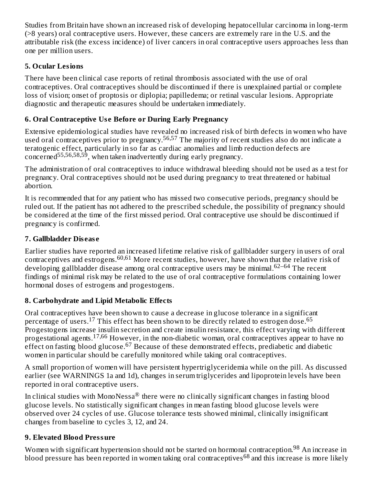Studies from Britain have shown an increased risk of developing hepatocellular carcinoma in long-term (>8 years) oral contraceptive users. However, these cancers are extremely rare in the U.S. and the attributable risk (the excess incidence) of liver cancers in oral contraceptive users approaches less than one per million users.

# **5. Ocular Lesions**

There have been clinical case reports of retinal thrombosis associated with the use of oral contraceptives. Oral contraceptives should be discontinued if there is unexplained partial or complete loss of vision; onset of proptosis or diplopia; papilledema; or retinal vascular lesions. Appropriate diagnostic and therapeutic measures should be undertaken immediately.

# **6. Oral Contraceptive Us e Before or During Early Pregnancy**

Extensive epidemiological studies have revealed no increased risk of birth defects in women who have used oral contraceptives prior to pregnancy.<sup>56,57</sup> The majority of recent studies also do not indicate a teratogenic effect, particularly in so far as cardiac anomalies and limb reduction defects are concerned<sup>55,56,58,59</sup>, when taken inadvertently during early pregnancy.

The administration of oral contraceptives to induce withdrawal bleeding should not be used as a test for pregnancy. Oral contraceptives should not be used during pregnancy to treat threatened or habitual abortion.

It is recommended that for any patient who has missed two consecutive periods, pregnancy should be ruled out. If the patient has not adhered to the prescribed schedule, the possibility of pregnancy should be considered at the time of the first missed period. Oral contraceptive use should be discontinued if pregnancy is confirmed.

# **7. Gallbladder Dis eas e**

Earlier studies have reported an increased lifetime relative risk of gallbladder surgery in users of oral contraceptives and estrogens.  $60,61$  More recent studies, however, have shown that the relative risk of developing gallbladder disease among oral contraceptive users may be minimal.  $62-64$  The recent findings of minimal risk may be related to the use of oral contraceptive formulations containing lower hormonal doses of estrogens and progestogens.

# **8. Carbohydrate and Lipid Metabolic Effects**

Oral contraceptives have been shown to cause a decrease in glucose tolerance in a significant percentage of users.  $^{17}$  This effect has been shown to be directly related to estrogen dose.  $^{65}$ Progestogens increase insulin secretion and create insulin resistance, this effect varying with different progestational agents.  $17,66$  However, in the non-diabetic woman, oral contraceptives appear to have no effect on fasting blood glucose.<sup>67</sup> Because of these demonstrated effects, prediabetic and diabetic women in particular should be carefully monitored while taking oral contraceptives.

A small proportion of women will have persistent hypertriglyceridemia while on the pill. As discussed earlier (see WARNINGS 1a and 1d), changes in serum triglycerides and lipoprotein levels have been reported in oral contraceptive users.

In clinical studies with MonoNessa $^\circledR$  there were no clinically significant changes in fasting blood glucose levels. No statistically significant changes in mean fasting blood glucose levels were observed over 24 cycles of use. Glucose tolerance tests showed minimal, clinically insignificant changes from baseline to cycles 3, 12, and 24.

# **9. Elevated Blood Pressure**

Women with significant hypertension should not be started on hormonal contraception. $^{98}$  An increase in blood pressure has been reported in women taking oral contraceptives<sup>68</sup> and this increase is more likely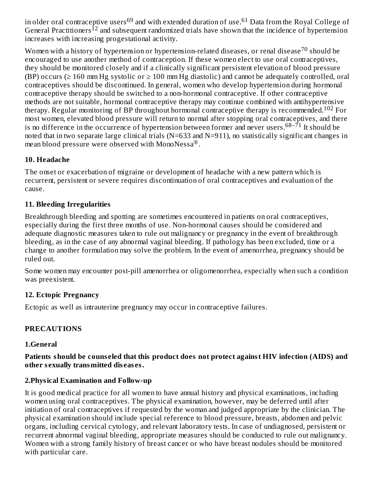in older oral contraceptive users $^{69}$  and with extended duration of use. $^{61}$  Data from the Royal College of General Practitioners<sup>12</sup> and subsequent randomized trials have shown that the incidence of hypertension increases with increasing progestational activity.

Women with a history of hypertension or hypertension-related diseases, or renal disease $^{70}$  should be encouraged to use another method of contraception. If these women elect to use oral contraceptives, they should be monitored closely and if a clinically significant persistent elevation of blood pressure (BP) occurs ( $\geq 160$  mm Hg systolic or  $\geq 100$  mm Hg diastolic) and cannot be adequately controlled, oral contraceptives should be discontinued. In general, women who develop hypertension during hormonal contraceptive therapy should be switched to a non-hormonal contraceptive. If other contraceptive methods are not suitable, hormonal contraceptive therapy may continue combined with antihypertensive therapy. Regular monitoring of BP throughout hormonal contraceptive therapy is recommended.<sup>102</sup> For most women, elevated blood pressure will return to normal after stopping oral contraceptives, and there is no difference in the occurrence of hypertension between former and never users.  $68-71$  It should be noted that in two separate large clinical trials (N=633 and N=911), no statistically significant changes in mean blood pressure were observed with MonoNessa<sup>®</sup>.

#### **10. Headache**

The onset or exacerbation of migraine or development of headache with a new pattern which is recurrent, persistent or severe requires discontinuation of oral contraceptives and evaluation of the cause.

# **11. Bleeding Irregularities**

Breakthrough bleeding and spotting are sometimes encountered in patients on oral contraceptives, especially during the first three months of use. Non-hormonal causes should be considered and adequate diagnostic measures taken to rule out malignancy or pregnancy in the event of breakthrough bleeding, as in the case of any abnormal vaginal bleeding. If pathology has been excluded, time or a change to another formulation may solve the problem. In the event of amenorrhea, pregnancy should be ruled out.

Some women may encounter post-pill amenorrhea or oligomenorrhea, especially when such a condition was preexistent.

# **12. Ectopic Pregnancy**

Ectopic as well as intrauterine pregnancy may occur in contraceptive failures.

# **PRECAUTIONS**

# **1.General**

#### **Patients should be couns eled that this product does not protect against HIV infection (AIDS) and other s exually transmitted dis eas es.**

# **2.Physical Examination and Follow-up**

It is good medical practice for all women to have annual history and physical examinations, including women using oral contraceptives. The physical examination, however, may be deferred until after initiation of oral contraceptives if requested by the woman and judged appropriate by the clinician. The physical examination should include special reference to blood pressure, breasts, abdomen and pelvic organs, including cervical cytology, and relevant laboratory tests. In case of undiagnosed, persistent or recurrent abnormal vaginal bleeding, appropriate measures should be conducted to rule out malignancy. Women with a strong family history of breast cancer or who have breast nodules should be monitored with particular care.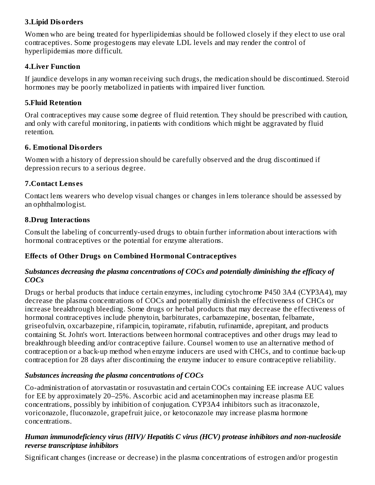# **3.Lipid Disorders**

Women who are being treated for hyperlipidemias should be followed closely if they elect to use oral contraceptives. Some progestogens may elevate LDL levels and may render the control of hyperlipidemias more difficult.

#### **4.Liver Function**

If jaundice develops in any woman receiving such drugs, the medication should be discontinued. Steroid hormones may be poorly metabolized in patients with impaired liver function.

#### **5.Fluid Retention**

Oral contraceptives may cause some degree of fluid retention. They should be prescribed with caution, and only with careful monitoring, in patients with conditions which might be aggravated by fluid retention.

#### **6. Emotional Disorders**

Women with a history of depression should be carefully observed and the drug discontinued if depression recurs to a serious degree.

# **7.Contact Lens es**

Contact lens wearers who develop visual changes or changes in lens tolerance should be assessed by an ophthalmologist.

# **8.Drug Interactions**

Consult the labeling of concurrently-used drugs to obtain further information about interactions with hormonal contraceptives or the potential for enzyme alterations.

# **Effects of Other Drugs on Combined Hormonal Contraceptives**

#### *Substances decreasing the plasma concentrations of COCs and potentially diminishing the efficacy of COCs*

Drugs or herbal products that induce certain enzymes, including cytochrome P450 3A4 (CYP3A4), may decrease the plasma concentrations of COCs and potentially diminish the effectiveness of CHCs or increase breakthrough bleeding. Some drugs or herbal products that may decrease the effectiveness of hormonal contraceptives include phenytoin, barbiturates, carbamazepine, bosentan, felbamate, griseofulvin, oxcarbazepine, rifampicin, topiramate, rifabutin, rufinamide, aprepitant, and products containing St. John's wort. Interactions between hormonal contraceptives and other drugs may lead to breakthrough bleeding and/or contraceptive failure. Counsel women to use an alternative method of contraception or a back-up method when enzyme inducers are used with CHCs, and to continue back-up contraception for 28 days after discontinuing the enzyme inducer to ensure contraceptive reliability.

# *Substances increasing the plasma concentrations of COCs*

Co-administration of atorvastatin or rosuvastatin and certain COCs containing EE increase AUC values for EE by approximately 20–25%. Ascorbic acid and acetaminophen may increase plasma EE concentrations, possibly by inhibition of conjugation. CYP3A4 inhibitors such as itraconazole, voriconazole, fluconazole, grapefruit juice, or ketoconazole may increase plasma hormone concentrations.

#### *Human immunodeficiency virus (HIV)/ Hepatitis C virus (HCV) protease inhibitors and non-nucleoside reverse transcriptase inhibitors*

Significant changes (increase or decrease) in the plasma concentrations of estrogen and/or progestin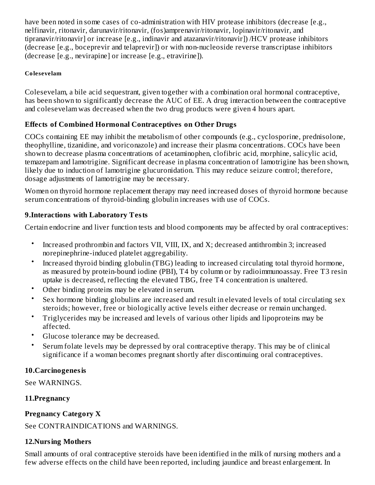have been noted in some cases of co-administration with HIV protease inhibitors (decrease [e.g., nelfinavir, ritonavir, darunavir/ritonavir, (fos)amprenavir/ritonavir, lopinavir/ritonavir, and tipranavir/ritonavir] or increase [e.g., indinavir and atazanavir/ritonavir]) /HCV protease inhibitors (decrease [e.g., boceprevir and telaprevir]) or with non-nucleoside reverse transcriptase inhibitors (decrease [e.g., nevirapine] or increase [e.g., etravirine]).

#### **Colesevelam**

Colesevelam, a bile acid sequestrant, given together with a combination oral hormonal contraceptive, has been shown to significantly decrease the AUC of EE. A drug interaction between the contraceptive and colesevelam was decreased when the two drug products were given 4 hours apart.

# **Effects of Combined Hormonal Contraceptives on Other Drugs**

COCs containing EE may inhibit the metabolism of other compounds (e.g., cyclosporine, prednisolone, theophylline, tizanidine, and voriconazole) and increase their plasma concentrations. COCs have been shown to decrease plasma concentrations of acetaminophen, clofibric acid, morphine, salicylic acid, temazepam and lamotrigine. Significant decrease in plasma concentration of lamotrigine has been shown, likely due to induction of lamotrigine glucuronidation. This may reduce seizure control; therefore, dosage adjustments of lamotrigine may be necessary.

Women on thyroid hormone replacement therapy may need increased doses of thyroid hormone because serum concentrations of thyroid-binding globulin increases with use of COCs.

# **9.Interactions with Laboratory Tests**

Certain endocrine and liver function tests and blood components may be affected by oral contraceptives:

- Increased prothrombin and factors VII, VIII, IX, and X; decreased antithrombin 3; increased norepinephrine-induced platelet aggregability.
- Increased thyroid binding globulin (TBG) leading to increased circulating total thyroid hormone, as measured by protein-bound iodine (PBI), T4 by column or by radioimmunoassay. Free T3 resin uptake is decreased, reflecting the elevated TBG, free T4 concentration is unaltered.
- Other binding proteins may be elevated in serum.
- Sex hormone binding globulins are increased and result in elevated levels of total circulating sex steroids; however, free or biologically active levels either decrease or remain unchanged.
- Triglycerides may be increased and levels of various other lipids and lipoproteins may be affected.
- Glucose tolerance may be decreased.
- Serum folate levels may be depressed by oral contraceptive therapy. This may be of clinical significance if a woman becomes pregnant shortly after discontinuing oral contraceptives.

# **10.Carcinogenesis**

See WARNINGS.

# **11.Pregnancy**

# **Pregnancy Category X**

See CONTRAINDICATIONS and WARNINGS.

# **12.Nursing Mothers**

Small amounts of oral contraceptive steroids have been identified in the milk of nursing mothers and a few adverse effects on the child have been reported, including jaundice and breast enlargement. In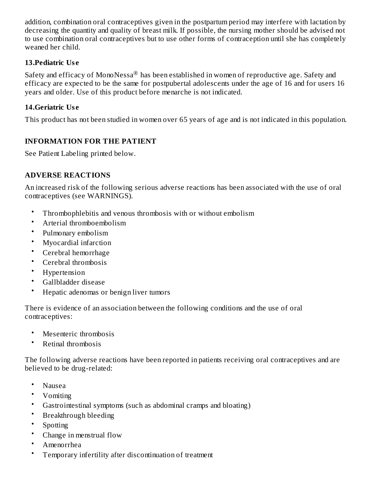addition, combination oral contraceptives given in the postpartum period may interfere with lactation by decreasing the quantity and quality of breast milk. If possible, the nursing mother should be advised not to use combination oral contraceptives but to use other forms of contraception until she has completely weaned her child.

#### **13.Pediatric Us e**

Safety and efficacy of MonoNessa $^\circledR$  has been established in women of reproductive age. Safety and efficacy are expected to be the same for postpubertal adolescents under the age of 16 and for users 16 years and older. Use of this product before menarche is not indicated.

# **14.Geriatric Us e**

This product has not been studied in women over 65 years of age and is not indicated in this population.

# **INFORMATION FOR THE PATIENT**

See Patient Labeling printed below.

#### **ADVERSE REACTIONS**

An increased risk of the following serious adverse reactions has been associated with the use of oral contraceptives (see WARNINGS).

- Thrombophlebitis and venous thrombosis with or without embolism
- Arterial thromboembolism
- Pulmonary embolism
- Myocardial infarction
- Cerebral hemorrhage
- Cerebral thrombosis
- Hypertension
- Gallbladder disease
- Hepatic adenomas or benign liver tumors

There is evidence of an association between the following conditions and the use of oral contraceptives:

- Mesenteric thrombosis
- Retinal thrombosis

The following adverse reactions have been reported in patients receiving oral contraceptives and are believed to be drug-related:

- Nausea
- Vomiting
- Gastrointestinal symptoms (such as abdominal cramps and bloating)
- Breakthrough bleeding
- Spotting
- Change in menstrual flow
- Amenorrhea
- Temporary infertility after discontinuation of treatment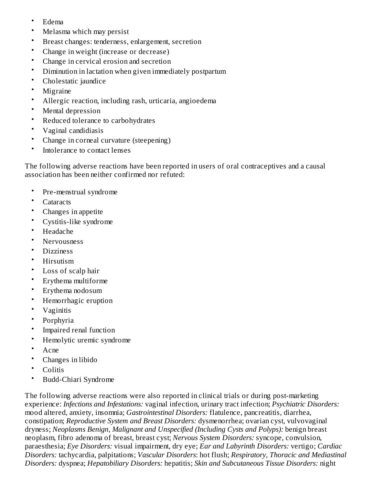- Edema
- Melasma which may persist
- Breast changes: tenderness, enlargement, secretion
- Change in weight (increase or decrease)
- Change in cervical erosion and secretion
- Diminution in lactation when given immediately postpartum
- Cholestatic jaundice
- Migraine
- Allergic reaction, including rash, urticaria, angioedema
- Mental depression
- Reduced tolerance to carbohydrates
- Vaginal candidiasis
- Change in corneal curvature (steepening)
- Intolerance to contact lenses

The following adverse reactions have been reported in users of oral contraceptives and a causal association has been neither confirmed nor refuted:

- Pre-menstrual syndrome
- **Cataracts**
- Changes in appetite
- Cystitis-like syndrome
- Headache
- **Nervousness**
- Dizziness
- Hirsutism
- Loss of scalp hair
- Erythema multiforme
- Erythema nodosum
- Hemorrhagic eruption
- Vaginitis
- Porphyria
- Impaired renal function
- Hemolytic uremic syndrome
- Acne
- Changes in libido
- **Colitis**
- Budd-Chiari Syndrome

The following adverse reactions were also reported in clinical trials or during post-marketing experience: *Infections and Infestations:* vaginal infection, urinary tract infection; *Psychiatric Disorders:* mood altered, anxiety, insomnia; *Gastrointestinal Disorders:* flatulence, pancreatitis, diarrhea, constipation; *Reproductive System and Breast Disorders:* dysmenorrhea; ovarian cyst, vulvovaginal dryness; *Neoplasms Benign, Malignant and Unspecified (Including Cysts and Polyps):* benign breast neoplasm, fibro adenoma of breast, breast cyst; *Nervous System Disorders:* syncope, convulsion, paraesthesia; *Eye Disorders:* visual impairment, dry eye; *Ear and Labyrinth Disorders:* vertigo; *Cardiac Disorders:* tachycardia, palpitations; *Vascular Disorders*: hot flush; *Respiratory, Thoracic and Mediastinal Disorders:* dyspnea; *Hepatobiliary Disorders:* hepatitis; *Skin and Subcutaneous Tissue Disorders:* night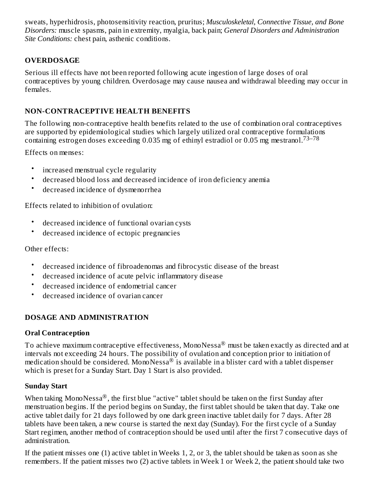sweats, hyperhidrosis, photosensitivity reaction, pruritus; *Musculoskeletal, Connective Tissue, and Bone Disorders:* muscle spasms, pain in extremity, myalgia, back pain; *General Disorders and Administration Site Conditions:* chest pain, asthenic conditions.

# **OVERDOSAGE**

Serious ill effects have not been reported following acute ingestion of large doses of oral contraceptives by young children. Overdosage may cause nausea and withdrawal bleeding may occur in females.

## **NON-CONTRACEPTIVE HEALTH BENEFITS**

The following non-contraceptive health benefits related to the use of combination oral contraceptives are supported by epidemiological studies which largely utilized oral contraceptive formulations containing estrogen doses exceeding 0.035 mg of ethinyl estradiol or 0.05 mg mestranol. 73–78

Effects on menses:

- increased menstrual cycle regularity
- decreased blood loss and decreased incidence of iron deficiency anemia
- decreased incidence of dysmenorrhea

Effects related to inhibition of ovulation:

- decreased incidence of functional ovarian cysts
- decreased incidence of ectopic pregnancies

Other effects:

- decreased incidence of fibroadenomas and fibrocystic disease of the breast
- decreased incidence of acute pelvic inflammatory disease
- decreased incidence of endometrial cancer
- decreased incidence of ovarian cancer

# **DOSAGE AND ADMINISTRATION**

#### **Oral Contraception**

To achieve maximum contraceptive effectiveness, MonoNessa $^\circledR$  must be taken exactly as directed and at intervals not exceeding 24 hours. The possibility of ovulation and conception prior to initiation of medication should be considered. MonoNessa $^\circledR$  is available in a blister card with a tablet dispenser which is preset for a Sunday Start. Day 1 Start is also provided.

#### **Sunday Start**

When taking MonoNessa $^\circledR$ , the first blue "active" tablet should be taken on the first Sunday after menstruation begins. If the period begins on Sunday, the first tablet should be taken that day. Take one active tablet daily for 21 days followed by one dark green inactive tablet daily for 7 days. After 28 tablets have been taken, a new course is started the next day (Sunday). For the first cycle of a Sunday Start regimen, another method of contraception should be used until after the first 7 consecutive days of administration.

If the patient misses one (1) active tablet in Weeks 1, 2, or 3, the tablet should be taken as soon as she remembers. If the patient misses two (2) active tablets in Week 1 or Week 2, the patient should take two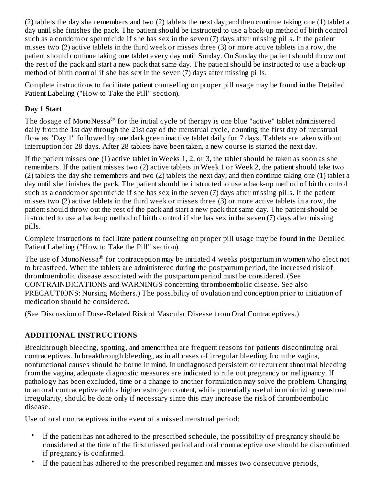(2) tablets the day she remembers and two (2) tablets the next day; and then continue taking one (1) tablet a day until she finishes the pack. The patient should be instructed to use a back-up method of birth control such as a condom or spermicide if she has sex in the seven (7) days after missing pills. If the patient misses two (2) active tablets in the third week or misses three (3) or more active tablets in a row, the patient should continue taking one tablet every day until Sunday. On Sunday the patient should throw out the rest of the pack and start a new pack that same day. The patient should be instructed to use a back-up method of birth control if she has sex in the seven (7) days after missing pills.

Complete instructions to facilitate patient counseling on proper pill usage may be found in the Detailed Patient Labeling ("How to Take the Pill" section).

# **Day 1 Start**

The dosage of MonoNessa $^\circledR$  for the initial cycle of therapy is one blue "active" tablet administered daily from the 1st day through the 21st day of the menstrual cycle, counting the first day of menstrual flow as "Day 1" followed by one dark green inactive tablet daily for 7 days. Tablets are taken without interruption for 28 days. After 28 tablets have been taken, a new course is started the next day.

If the patient misses one (1) active tablet in Weeks 1, 2, or 3, the tablet should be taken as soon as she remembers. If the patient misses two (2) active tablets in Week 1 or Week 2, the patient should take two (2) tablets the day she remembers and two (2) tablets the next day; and then continue taking one (1) tablet a day until she finishes the pack. The patient should be instructed to use a back-up method of birth control such as a condom or spermicide if she has sex in the seven (7) days after missing pills. If the patient misses two (2) active tablets in the third week or misses three (3) or more active tablets in a row, the patient should throw out the rest of the pack and start a new pack that same day. The patient should be instructed to use a back-up method of birth control if she has sex in the seven (7) days after missing pills.

Complete instructions to facilitate patient counseling on proper pill usage may be found in the Detailed Patient Labeling ("How to Take the Pill" section).

The use of MonoNessa $^\circledR$  for contraception may be initiated 4 weeks postpartum in women who elect not to breastfeed. When the tablets are administered during the postpartum period, the increased risk of thromboembolic disease associated with the postpartum period must be considered. (See CONTRAINDICATIONS and WARNINGS concerning thromboembolic disease. See also PRECAUTIONS: Nursing Mothers.) The possibility of ovulation and conception prior to initiation of medication should be considered.

(See Discussion of Dose-Related Risk of Vascular Disease from Oral Contraceptives.)

# **ADDITIONAL INSTRUCTIONS**

Breakthrough bleeding, spotting, and amenorrhea are frequent reasons for patients discontinuing oral contraceptives. In breakthrough bleeding, as in all cases of irregular bleeding from the vagina, nonfunctional causes should be borne in mind. In undiagnosed persistent or recurrent abnormal bleeding from the vagina, adequate diagnostic measures are indicated to rule out pregnancy or malignancy. If pathology has been excluded, time or a change to another formulation may solve the problem. Changing to an oral contraceptive with a higher estrogen content, while potentially useful in minimizing menstrual irregularity, should be done only if necessary since this may increase the risk of thromboembolic disease.

Use of oral contraceptives in the event of a missed menstrual period:

- If the patient has not adhered to the prescribed schedule, the possibility of pregnancy should be considered at the time of the first missed period and oral contraceptive use should be discontinued if pregnancy is confirmed.
- If the patient has adhered to the prescribed regimen and misses two consecutive periods,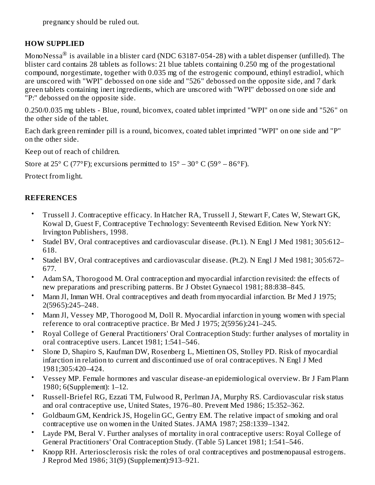pregnancy should be ruled out.

# **HOW SUPPLIED**

MonoNessa $^\circledR$  is available in a blister card (NDC 63187-054-28) with a tablet dispenser (unfilled). The blister card contains 28 tablets as follows: 21 blue tablets containing 0.250 mg of the progestational compound, norgestimate, together with 0.035 mg of the estrogenic compound, ethinyl estradiol, which are unscored with "WPI" debossed on one side and "526" debossed on the opposite side, and 7 dark green tablets containing inert ingredients, which are unscored with "WPI" debossed on one side and "P:" debossed on the opposite side.

0.250/0.035 mg tablets - Blue, round, biconvex, coated tablet imprinted "WPI" on one side and "526" on the other side of the tablet.

Each dark green reminder pill is a round, biconvex, coated tablet imprinted "WPI" on one side and "P" on the other side.

Keep out of reach of children.

Store at 25 $\degree$  C (77 $\degree$ F); excursions permitted to 15 $\degree$  – 30 $\degree$  C (59 $\degree$  – 86 $\degree$ F).

Protect from light.

# **REFERENCES**

- Trussell J. Contraceptive efficacy. In Hatcher RA, Trussell J, Stewart F, Cates W, Stewart GK, Kowal D, Guest F, Contraceptive Technology: Seventeenth Revised Edition. New York NY: Irvington Publishers, 1998.
- Stadel BV, Oral contraceptives and cardiovascular disease. (Pt.1). N Engl J Med 1981; 305:612– 618.
- Stadel BV, Oral contraceptives and cardiovascular disease. (Pt.2). N Engl J Med 1981; 305:672– 677.
- Adam SA, Thorogood M. Oral contraception and myocardial infarction revisited: the effects of new preparations and prescribing patterns. Br J Obstet Gynaecol 1981; 88:838–845.
- Mann Jl, Inman WH. Oral contraceptives and death from myocardial infarction. Br Med J 1975; 2(5965):245–248.
- Mann Jl, Vessey MP, Thorogood M, Doll R. Myocardial infarction in young women with special reference to oral contraceptive practice. Br Med J 1975; 2(5956):241–245.
- Royal College of General Practitioners' Oral Contraception Study: further analyses of mortality in oral contraceptive users. Lancet 1981; 1:541–546.
- Slone D, Shapiro S, Kaufman DW, Rosenberg L, Miettinen OS, Stolley PD. Risk of myocardial infarction in relation to current and discontinued use of oral contraceptives. N Engl J Med 1981;305:420–424.
- Vessey MP. Female hormones and vascular disease-an epidemiological overview. Br J Fam Plann 1980; 6(Supplement): 1–12.
- Russell-Briefel RG, Ezzati TM, Fulwood R, Perlman JA, Murphy RS. Cardiovascular risk status and oral contraceptive use, United States, 1976–80. Prevent Med 1986; 15:352–362.
- Goldbaum GM, Kendrick JS, Hogelin GC, Gentry EM. The relative impact of smoking and oral contraceptive use on women in the United States. JAMA 1987; 258:1339–1342.
- Layde PM, Beral V. Further analyses of mortality in oral contraceptive users: Royal College of General Practitioners' Oral Contraception Study. (Table 5) Lancet 1981; 1:541–546.
- Knopp RH. Arteriosclerosis risk: the roles of oral contraceptives and postmenopausal estrogens. J Reprod Med 1986; 31(9) (Supplement):913–921.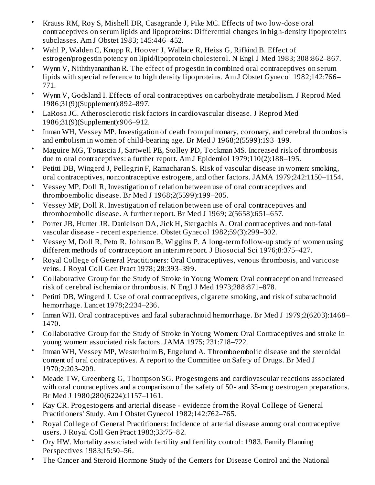- Krauss RM, Roy S, Mishell DR, Casagrande J, Pike MC. Effects of two low-dose oral contraceptives on serum lipids and lipoproteins: Differential changes in high-density lipoproteins subclasses. Am J Obstet 1983; 145:446–452.
- Wahl P, Walden C, Knopp R, Hoover J, Wallace R, Heiss G, Rifkind B. Effect of estrogen/progestin potency on lipid/lipoprotein cholesterol. N Engl J Med 1983; 308:862–867.
- Wynn V, Niththyananthan R. The effect of progestin in combined oral contraceptives on serum lipids with special reference to high density lipoproteins. Am J Obstet Gynecol 1982;142:766– 771.
- Wynn V, Godsland I. Effects of oral contraceptives on carbohydrate metabolism. J Reprod Med 1986;31(9)(Supplement):892–897.
- LaRosa JC. Atherosclerotic risk factors in cardiovascular disease. J Reprod Med 1986;31(9)(Supplement):906–912.
- Inman WH, Vessey MP. Investigation of death from pulmonary, coronary, and cerebral thrombosis and embolism in women of child-bearing age. Br Med J 1968;2(5599):193–199.
- Maguire MG, Tonascia J, Sartwell PE, Stolley PD, Tockman MS. Increased risk of thrombosis due to oral contraceptives: a further report. Am J Epidemiol 1979;110(2):188–195.
- Petitti DB, Wingerd J, Pellegrin F, Ramacharan S. Risk of vascular disease in women: smoking, oral contraceptives, noncontraceptive estrogens, and other factors. JAMA 1979;242:1150–1154.
- Vessey MP, Doll R, Investigation of relation between use of oral contraceptives and thromboembolic disease. Br Med J 1968;2(5599):199–205.
- Vessey MP, Doll R. Investigation of relation between use of oral contraceptives and thromboembolic disease. A further report. Br Med J 1969; 2(5658):651–657.
- Porter JB, Hunter JR, Danielson DA, Jick H, Stergachis A. Oral contraceptives and non-fatal vascular disease - recent experience. Obstet Gynecol 1982;59(3):299–302.
- Vessey M, Doll R, Peto R, Johnson B, Wiggins P. A long-term follow-up study of women using different methods of contraception: an interim report. J Biosocial Sci 1976;8:375–427.
- Royal College of General Practitioners: Oral Contraceptives, venous thrombosis, and varicose veins. J Royal Coll Gen Pract 1978; 28:393–399.
- Collaborative Group for the Study of Stroke in Young Women: Oral contraception and increased risk of cerebral ischemia or thrombosis. N Engl J Med 1973;288:871–878.
- Petitti DB, Wingerd J. Use of oral contraceptives, cigarette smoking, and risk of subarachnoid hemorrhage. Lancet 1978;2:234–236.
- Inman WH. Oral contraceptives and fatal subarachnoid hemorrhage. Br Med J 1979;2(6203):1468– 1470.
- Collaborative Group for the Study of Stroke in Young Women: Oral Contraceptives and stroke in young women: associated risk factors. JAMA 1975; 231:718–722.
- Inman WH, Vessey MP, Westerholm B, Engelund A. Thromboembolic disease and the steroidal content of oral contraceptives. A report to the Committee on Safety of Drugs. Br Med J 1970;2:203–209.
- Meade TW, Greenberg G, Thompson SG. Progestogens and cardiovascular reactions associated with oral contraceptives and a comparison of the safety of 50- and 35-mcg oestrogen preparations. Br Med J 1980;280(6224):1157–1161.
- Kay CR. Progestogens and arterial disease - evidence from the Royal College of General Practitioners' Study. Am J Obstet Gynecol 1982;142:762–765.
- Royal College of General Practitioners: Incidence of arterial disease among oral contraceptive users. J Royal Coll Gen Pract 1983;33:75–82.
- Ory HW. Mortality associated with fertility and fertility control: 1983. Family Planning Perspectives 1983;15:50–56.
- The Cancer and Steroid Hormone Study of the Centers for Disease Control and the National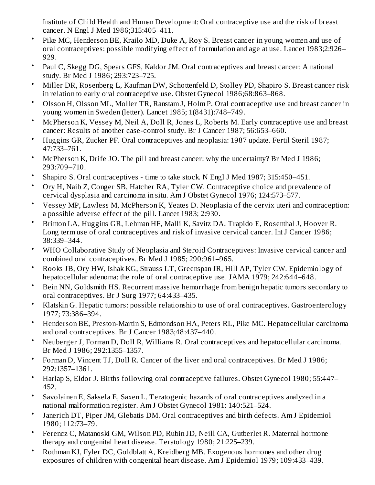Institute of Child Health and Human Development: Oral contraceptive use and the risk of breast cancer. N Engl J Med 1986;315:405–411.

- Pike MC, Henderson BE, Krailo MD, Duke A, Roy S. Breast cancer in young women and use of oral contraceptives: possible modifying effect of formulation and age at use. Lancet 1983;2:926– 929.
- Paul C, Skegg DG, Spears GFS, Kaldor JM. Oral contraceptives and breast cancer: A national study. Br Med J 1986; 293:723–725.
- Miller DR, Rosenberg L, Kaufman DW, Schottenfeld D, Stolley PD, Shapiro S. Breast cancer risk in relation to early oral contraceptive use. Obstet Gynecol 1986;68:863-868.
- Olsson H, Olsson ML, Moller TR, Ranstam J, Holm P. Oral contraceptive use and breast cancer in young women in Sweden (letter). Lancet 1985; 1(8431):748–749.
- McPherson K, Vessey M, Neil A, Doll R, Jones L, Roberts M. Early contraceptive use and breast cancer: Results of another case-control study. Br J Cancer 1987; 56:653–660.
- Huggins GR, Zucker PF. Oral contraceptives and neoplasia: 1987 update. Fertil Steril 1987; 47:733–761.
- McPherson K, Drife JO. The pill and breast cancer: why the uncertainty? Br Med J 1986; 293:709–710.
- Shapiro S. Oral contraceptives - time to take stock. N Engl J Med 1987; 315:450–451.
- Ory H, Naib Z, Conger SB, Hatcher RA, Tyler CW. Contraceptive choice and prevalence of cervical dysplasia and carcinoma in situ. Am J Obstet Gynecol 1976; 124:573–577.
- Vessey MP, Lawless M, McPherson K, Yeates D. Neoplasia of the cervix uteri and contraception: a possible adverse effect of the pill. Lancet 1983; 2:930.
- Brinton LA, Huggins GR, Lehman HF, Malli K, Savitz DA, Trapido E, Rosenthal J, Hoover R. Long term use of oral contraceptives and risk of invasive cervical cancer. Int J Cancer 1986; 38:339–344.
- WHO Collaborative Study of Neoplasia and Steroid Contraceptives: Invasive cervical cancer and combined oral contraceptives. Br Med J 1985; 290:961–965.
- Rooks JB, Ory HW, Ishak KG, Strauss LT, Greenspan JR, Hill AP, Tyler CW. Epidemiology of hepatocellular adenoma: the role of oral contraceptive use. JAMA 1979; 242:644–648.
- Bein NN, Goldsmith HS. Recurrent massive hemorrhage from benign hepatic tumors secondary to oral contraceptives. Br J Surg 1977; 64:433–435.
- Klatskin G. Hepatic tumors: possible relationship to use of oral contraceptives. Gastroenterology 1977; 73:386–394.
- Henderson BE, Preston-Martin S, Edmondson HA, Peters RL, Pike MC. Hepatocellular carcinoma and oral contraceptives. Br J Cancer 1983;48:437–440.
- Neuberger J, Forman D, Doll R, Williams R. Oral contraceptives and hepatocellular carcinoma. Br Med J 1986; 292:1355–1357.
- Forman D, Vincent TJ, Doll R. Cancer of the liver and oral contraceptives. Br Med J 1986; 292:1357–1361.
- Harlap S, Eldor J. Births following oral contraceptive failures. Obstet Gynecol 1980; 55:447– 452.
- Savolainen E, Saksela E, Saxen L. Teratogenic hazards of oral contraceptives analyzed in a national malformation register. Am J Obstet Gynecol 1981: 140:521–524.
- Janerich DT, Piper JM, Glebatis DM. Oral contraceptives and birth defects. Am J Epidemiol 1980; 112:73–79.
- Ferencz C, Matanoski GM, Wilson PD, Rubin JD, Neill CA, Gutberlet R. Maternal hormone therapy and congenital heart disease. Teratology 1980; 21:225–239.
- Rothman KJ, Fyler DC, Goldblatt A, Kreidberg MB. Exogenous hormones and other drug exposures of children with congenital heart disease. Am J Epidemiol 1979; 109:433–439.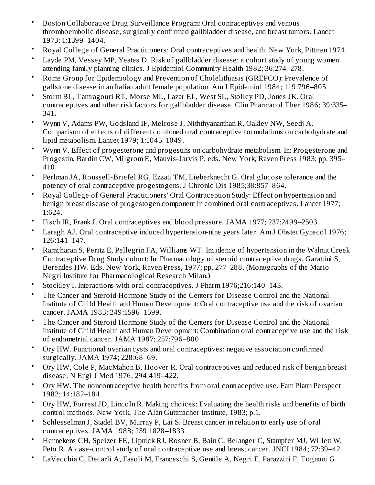- Boston Collaborative Drug Surveillance Program: Oral contraceptives and venous thromboembolic disease, surgically confirmed gallbladder disease, and breast tumors. Lancet 1973; 1:1399–1404.
- Royal College of General Practitioners: Oral contraceptives and health. New York, Pittman 1974.
- Layde PM, Vessey MP, Yeates D. Risk of gallbladder disease: a cohort study of young women attending family planning clinics. J Epidemiol Community Health 1982; 36:274–278.
- Rome Group for Epidemiology and Prevention of Cholelithiasis (GREPCO): Prevalence of gallstone disease in an Italian adult female population. Am J Epidemiol 1984; 119:796–805.
- Storm BL, Tamragouri RT, Morse ML, Lazar EL, West SL, Stolley PD, Jones JK. Oral contraceptives and other risk factors for gallbladder disease. Clin Pharmacol Ther 1986; 39:335– 341.
- Wynn V, Adams PW, Godsland IF, Melrose J, Niththyananthan R, Oakley NW, Seedj A. Comparison of effects of different combined oral contraceptive formulations on carbohydrate and lipid metabolism. Lancet 1979; 1:1045–1049.
- Wynn V. Effect of progesterone and progestins on carbohydrate metabolism. In: Progesterone and Progestin. Bardin CW, Milgrom E, Mauvis-Jarvis P. eds. New York, Raven Press 1983; pp. 395– 410.
- Perlman JA, Roussell-Briefel RG, Ezzati TM, Lieberknecht G. Oral glucose tolerance and the potency of oral contraceptive progestogens. J Chronic Dis 1985;38:857–864.
- Royal College of General Practitioners' Oral Contraception Study: Effect on hypertension and benign breast disease of progestogen component in combined oral contraceptives. Lancet 1977; 1:624.
- Fisch IR, Frank J. Oral contraceptives and blood pressure. JAMA 1977; 237:2499–2503.
- Laragh AJ. Oral contraceptive induced hypertension-nine years later. Am J Obstet Gynecol 1976; 126:141–147.
- Ramcharan S, Peritz E, Pellegrin FA, Williams WT. Incidence of hypertension in the Walnut Creek Contraceptive Drug Study cohort: In: Pharmacology of steroid contraceptive drugs. Garattini S, Berendes HW. Eds. New York, Raven Press, 1977; pp. 277–288, (Monographs of the Mario Negri Institute for Pharmacological Research Milan.)
- Stockley I. Interactions with oral contraceptives. J Pharm 1976;216:140–143.
- The Cancer and Steroid Hormone Study of the Centers for Disease Control and the National Institute of Child Health and Human Development: Oral contraceptive use and the risk of ovarian cancer. JAMA 1983; 249:1596–1599.
- The Cancer and Steroid Hormone Study of the Centers for Disease Control and the National Institute of Child Health and Human Development: Combination oral contraceptive use and the risk of endometrial cancer. JAMA 1987; 257:796–800.
- Ory HW. Functional ovarian cysts and oral contraceptives: negative association confirmed surgically. JAMA 1974; 228:68–69.
- Ory HW, Cole P, MacMahon B, Hoover R. Oral contraceptives and reduced risk of benign breast disease. N Engl J Med 1976; 294:419–422.
- Ory HW. The noncontraceptive health benefits from oral contraceptive use. Fam Plann Perspect 1982; 14:182–184.
- Ory HW, Forrest JD, Lincoln R. Making choices: Evaluating the health risks and benefits of birth control methods. New York, The Alan Guttmacher Institute, 1983; p.1.
- Schlesselman J, Stadel BV, Murray P, Lai S. Breast cancer in relation to early use of oral contraceptives. JAMA 1988; 259:1828–1833.
- Hennekens CH, Speizer FE, Lipnick RJ, Rosner B, Bain C, Belanger C, Stampfer MJ, Willett W, Peto R. A case-control study of oral contraceptive use and breast cancer. JNCI 1984; 72:39–42.
- LaVecchia C, Decarli A, Fasoli M, Franceschi S, Gentile A, Negri E, Parazzini F, Tognoni G.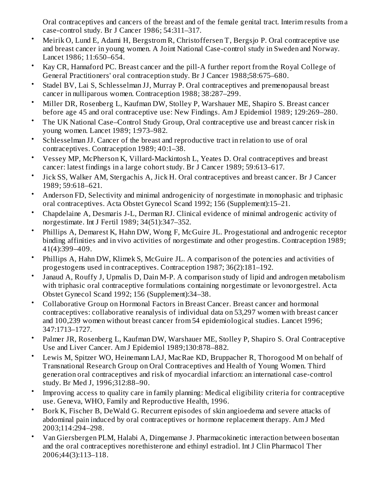Oral contraceptives and cancers of the breast and of the female genital tract. Interim results from a case-control study. Br J Cancer 1986; 54:311–317.

- Meirik O, Lund E, Adami H, Bergstrom R, Christoffersen T, Bergsjo P. Oral contraceptive use and breast cancer in young women. A Joint National Case-control study in Sweden and Norway. Lancet 1986; 11:650–654.
- Kay CR, Hannaford PC. Breast cancer and the pill-A further report from the Royal College of General Practitioners' oral contraception study. Br J Cancer 1988;58:675–680.
- Stadel BV, Lai S, Schlesselman JJ, Murray P. Oral contraceptives and premenopausal breast cancer in nulliparous women. Contraception 1988; 38:287–299.
- Miller DR, Rosenberg L, Kaufman DW, Stolley P, Warshauer ME, Shapiro S. Breast cancer before age 45 and oral contraceptive use: New Findings. Am J Epidemiol 1989; 129:269–280.
- The UK National Case–Control Study Group, Oral contraceptive use and breast cancer risk in young women. Lancet 1989; 1:973–982.
- Schlesselman JJ. Cancer of the breast and reproductive tract in relation to use of oral contraceptives. Contraception 1989; 40:1–38.
- Vessey MP, McPherson K, Villard-Mackintosh L, Yeates D. Oral contraceptives and breast cancer: latest findings in a large cohort study. Br J Cancer 1989; 59:613–617.
- Jick SS, Walker AM, Stergachis A, Jick H. Oral contraceptives and breast cancer. Br J Cancer 1989; 59:618–621.
- Anderson FD, Selectivity and minimal androgenicity of norgestimate in monophasic and triphasic oral contraceptives. Acta Obstet Gynecol Scand 1992; 156 (Supplement):15–21.
- Chapdelaine A, Desmaris J-L, Derman RJ. Clinical evidence of minimal androgenic activity of norgestimate. Int J Fertil 1989; 34(51):347–352.
- Phillips A, Demarest K, Hahn DW, Wong F, McGuire JL. Progestational and androgenic receptor binding affinities and in vivo activities of norgestimate and other progestins. Contraception 1989; 41(4):399–409.
- Phillips A, Hahn DW, Klimek S, McGuire JL. A comparison of the potencies and activities of progestogens used in contraceptives. Contraception 1987; 36(2):181–192.
- Janaud A, Rouffy J, Upmalis D, Dain M-P. A comparison study of lipid and androgen metabolism with triphasic oral contraceptive formulations containing norgestimate or levonorgestrel. Acta Obstet Gynecol Scand 1992; 156 (Supplement):34–38.
- Collaborative Group on Hormonal Factors in Breast Cancer. Breast cancer and hormonal contraceptives: collaborative reanalysis of individual data on 53,297 women with breast cancer and 100,239 women without breast cancer from 54 epidemiological studies. Lancet 1996; 347:1713–1727.
- Palmer JR, Rosenberg L, Kaufman DW, Warshauer ME, Stolley P, Shapiro S. Oral Contraceptive Use and Liver Cancer. Am J Epidemiol 1989;130:878–882.
- Lewis M, Spitzer WO, Heinemann LAJ, MacRae KD, Bruppacher R, Thorogood M on behalf of Transnational Research Group on Oral Contraceptives and Health of Young Women. Third generation oral contraceptives and risk of myocardial infarction: an international case-control study. Br Med J, 1996;312:88–90.
- Improving access to quality care in family planning: Medical eligibility criteria for contraceptive use. Geneva, WHO, Family and Reproductive Health, 1996.
- Bork K, Fischer B, DeWald G. Recurrent episodes of skin angioedema and severe attacks of abdominal pain induced by oral contraceptives or hormone replacement therapy. Am J Med 2003;114:294–298.
- Van Giersbergen PLM, Halabi A, Dingemanse J. Pharmacokinetic interaction between bosentan and the oral contraceptives norethisterone and ethinyl estradiol. Int J Clin Pharmacol Ther 2006;44(3):113–118.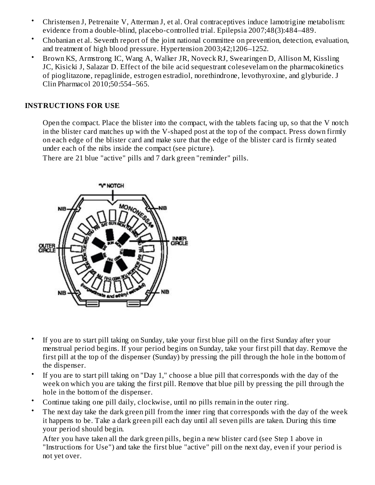- Christensen J, Petrenaite V, Atterman J, et al. Oral contraceptives induce lamotrigine metabolism: evidence from a double-blind, placebo-controlled trial. Epilepsia 2007;48(3):484–489.
- Chobanian et al. Seventh report of the joint national committee on prevention, detection, evaluation, and treatment of high blood pressure. Hypertension 2003;42;1206–1252.
- Brown KS, Armstrong IC, Wang A, Walker JR, Noveck RJ, Swearingen D, Allison M, Kissling JC, Kisicki J, Salazar D. Effect of the bile acid sequestrant colesevelam on the pharmacokinetics of pioglitazone, repaglinide, estrogen estradiol, norethindrone, levothyroxine, and glyburide. J Clin Pharmacol 2010;50:554–565.

#### **INSTRUCTIONS FOR USE**

Open the compact. Place the blister into the compact, with the tablets facing up, so that the V notch in the blister card matches up with the V-shaped post at the top of the compact. Press down firmly on each edge of the blister card and make sure that the edge of the blister card is firmly seated under each of the nibs inside the compact (see picture).

There are 21 blue "active" pills and 7 dark green "reminder" pills.



- If you are to start pill taking on Sunday, take your first blue pill on the first Sunday after your menstrual period begins. If your period begins on Sunday, take your first pill that day. Remove the first pill at the top of the dispenser (Sunday) by pressing the pill through the hole in the bottom of the dispenser.
- If you are to start pill taking on "Day 1," choose a blue pill that corresponds with the day of the week on which you are taking the first pill. Remove that blue pill by pressing the pill through the hole in the bottom of the dispenser.
- Continue taking one pill daily, clockwise, until no pills remain in the outer ring.
- The next day take the dark green pill from the inner ring that corresponds with the day of the week it happens to be. Take a dark green pill each day until all seven pills are taken. During this time your period should begin.

After you have taken all the dark green pills, begin a new blister card (see Step 1 above in "Instructions for Use") and take the first blue "active" pill on the next day, even if your period is not yet over.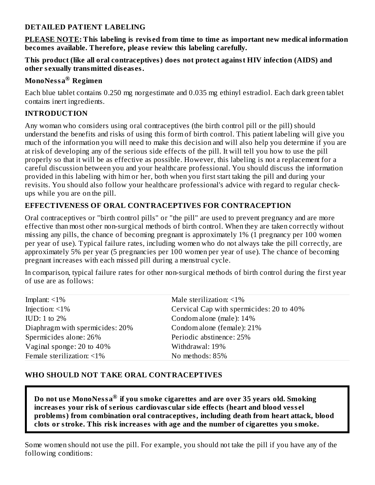## **DETAILED PATIENT LABELING**

**PLEASE NOTE: This labeling is revis ed from time to time as important new medical information becomes available. Therefore, pleas e review this labeling carefully.**

#### **This product (like all oral contraceptives) does not protect against HIV infection (AIDS) and other s exually transmitted dis eas es.**

#### **MonoNessa Regimen ®**

Each blue tablet contains 0.250 mg norgestimate and 0.035 mg ethinyl estradiol. Each dark green tablet contains inert ingredients.

#### **INTRODUCTION**

Any woman who considers using oral contraceptives (the birth control pill or the pill) should understand the benefits and risks of using this form of birth control. This patient labeling will give you much of the information you will need to make this decision and will also help you determine if you are at risk of developing any of the serious side effects of the pill. It will tell you how to use the pill properly so that it will be as effective as possible. However, this labeling is not a replacement for a careful discussion between you and your healthcare professional. You should discuss the information provided in this labeling with him or her, both when you first start taking the pill and during your revisits. You should also follow your healthcare professional's advice with regard to regular checkups while you are on the pill.

# **EFFECTIVENESS OF ORAL CONTRACEPTIVES FOR CONTRACEPTION**

Oral contraceptives or "birth control pills" or "the pill" are used to prevent pregnancy and are more effective than most other non-surgical methods of birth control. When they are taken correctly without missing any pills, the chance of becoming pregnant is approximately 1% (1 pregnancy per 100 women per year of use). Typical failure rates, including women who do not always take the pill correctly, are approximately 5% per year (5 pregnancies per 100 women per year of use). The chance of becoming pregnant increases with each missed pill during a menstrual cycle.

In comparison, typical failure rates for other non-surgical methods of birth control during the first year of use are as follows:

| Implant: $\leq 1\%$             | Male sterilization: $\leq 1\%$           |
|---------------------------------|------------------------------------------|
| Injection: $\leq 1\%$           | Cervical Cap with spermicides: 20 to 40% |
| IUD: 1 to $2\%$                 | Condom alone (male): 14%                 |
| Diaphragm with spermicides: 20% | Condom alone (female): 21%               |
| Spermicides alone: 26%          | Periodic abstinence: 25%                 |
| Vaginal sponge: 20 to 40%       | Withdrawal: 19%                          |
| Female sterilization: <1%       | No methods: 85%                          |
|                                 |                                          |

# **WHO SHOULD NOT TAKE ORAL CONTRACEPTIVES**

**Do not us e MonoNessa if you smoke cigarettes and are over 35 years old. Smoking ®increas es your risk of s erious cardiovas cular side effects (heart and blood vess el problems) from combination oral contraceptives, including death from heart attack, blood clots or stroke. This risk increas es with age and the number of cigarettes you smoke.**

Some women should not use the pill. For example, you should not take the pill if you have any of the following conditions: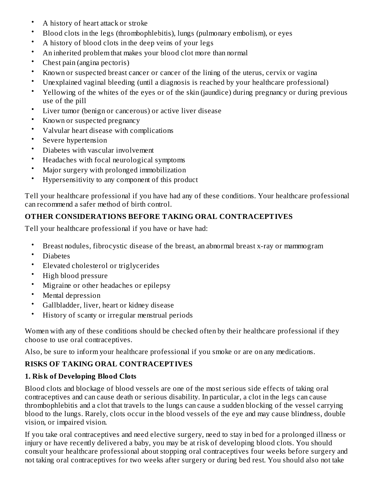- A history of heart attack or stroke
- Blood clots in the legs (thrombophlebitis), lungs (pulmonary embolism), or eyes
- A history of blood clots in the deep veins of your legs
- An inherited problem that makes your blood clot more than normal
- Chest pain (angina pectoris)
- Known or suspected breast cancer or cancer of the lining of the uterus, cervix or vagina
- Unexplained vaginal bleeding (until a diagnosis is reached by your healthcare professional)
- Yellowing of the whites of the eyes or of the skin (jaundice) during pregnancy or during previous use of the pill
- Liver tumor (benign or cancerous) or active liver disease
- Known or suspected pregnancy
- Valvular heart disease with complications
- Severe hypertension
- Diabetes with vascular involvement
- Headaches with focal neurological symptoms
- Major surgery with prolonged immobilization
- Hypersensitivity to any component of this product

Tell your healthcare professional if you have had any of these conditions. Your healthcare professional can recommend a safer method of birth control.

# **OTHER CONSIDERATIONS BEFORE TAKING ORAL CONTRACEPTIVES**

Tell your healthcare professional if you have or have had:

- Breast nodules, fibrocystic disease of the breast, an abnormal breast x-ray or mammogram
- Diabetes
- Elevated cholesterol or triglycerides
- High blood pressure
- Migraine or other headaches or epilepsy
- Mental depression
- Gallbladder, liver, heart or kidney disease
- History of scanty or irregular menstrual periods

Women with any of these conditions should be checked often by their healthcare professional if they choose to use oral contraceptives.

Also, be sure to inform your healthcare professional if you smoke or are on any medications.

# **RISKS OF TAKING ORAL CONTRACEPTIVES**

# **1. Risk of Developing Blood Clots**

Blood clots and blockage of blood vessels are one of the most serious side effects of taking oral contraceptives and can cause death or serious disability. In particular, a clot in the legs can cause thrombophlebitis and a clot that travels to the lungs can cause a sudden blocking of the vessel carrying blood to the lungs. Rarely, clots occur in the blood vessels of the eye and may cause blindness, double vision, or impaired vision.

If you take oral contraceptives and need elective surgery, need to stay in bed for a prolonged illness or injury or have recently delivered a baby, you may be at risk of developing blood clots. You should consult your healthcare professional about stopping oral contraceptives four weeks before surgery and not taking oral contraceptives for two weeks after surgery or during bed rest. You should also not take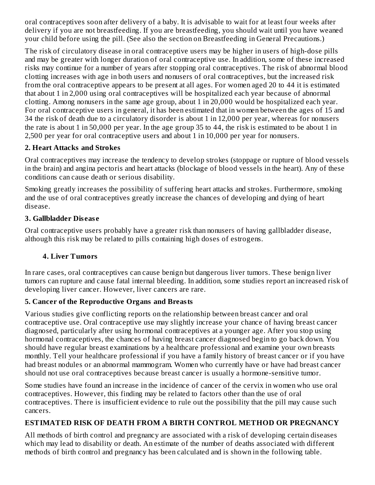oral contraceptives soon after delivery of a baby. It is advisable to wait for at least four weeks after delivery if you are not breastfeeding. If you are breastfeeding, you should wait until you have weaned your child before using the pill. (See also the section on Breastfeeding in General Precautions.)

The risk of circulatory disease in oral contraceptive users may be higher in users of high-dose pills and may be greater with longer duration of oral contraceptive use. In addition, some of these increased risks may continue for a number of years after stopping oral contraceptives. The risk of abnormal blood clotting increases with age in both users and nonusers of oral contraceptives, but the increased risk from the oral contraceptive appears to be present at all ages. For women aged 20 to 44 it is estimated that about 1 in 2,000 using oral contraceptives will be hospitalized each year because of abnormal clotting. Among nonusers in the same age group, about 1 in 20,000 would be hospitalized each year. For oral contraceptive users in general, it has been estimated that in women between the ages of 15 and 34 the risk of death due to a circulatory disorder is about 1 in 12,000 per year, whereas for nonusers the rate is about 1 in 50,000 per year. In the age group 35 to 44, the risk is estimated to be about 1 in 2,500 per year for oral contraceptive users and about 1 in 10,000 per year for nonusers.

# **2. Heart Attacks and Strokes**

Oral contraceptives may increase the tendency to develop strokes (stoppage or rupture of blood vessels in the brain) and angina pectoris and heart attacks (blockage of blood vessels in the heart). Any of these conditions can cause death or serious disability.

Smoking greatly increases the possibility of suffering heart attacks and strokes. Furthermore, smoking and the use of oral contraceptives greatly increase the chances of developing and dying of heart disease.

# **3. Gallbladder Dis eas e**

Oral contraceptive users probably have a greater risk than nonusers of having gallbladder disease, although this risk may be related to pills containing high doses of estrogens.

# **4. Liver Tumors**

In rare cases, oral contraceptives can cause benign but dangerous liver tumors. These benign liver tumors can rupture and cause fatal internal bleeding. In addition, some studies report an increased risk of developing liver cancer. However, liver cancers are rare.

# **5. Cancer of the Reproductive Organs and Breasts**

Various studies give conflicting reports on the relationship between breast cancer and oral contraceptive use. Oral contraceptive use may slightly increase your chance of having breast cancer diagnosed, particularly after using hormonal contraceptives at a younger age. After you stop using hormonal contraceptives, the chances of having breast cancer diagnosed begin to go back down. You should have regular breast examinations by a healthcare professional and examine your own breasts monthly. Tell your healthcare professional if you have a family history of breast cancer or if you have had breast nodules or an abnormal mammogram. Women who currently have or have had breast cancer should not use oral contraceptives because breast cancer is usually a hormone-sensitive tumor.

Some studies have found an increase in the incidence of cancer of the cervix in women who use oral contraceptives. However, this finding may be related to factors other than the use of oral contraceptives. There is insufficient evidence to rule out the possibility that the pill may cause such cancers.

# **ESTIMATED RISK OF DEATH FROM A BIRTH CONTROL METHOD OR PREGNANCY**

All methods of birth control and pregnancy are associated with a risk of developing certain diseases which may lead to disability or death. An estimate of the number of deaths associated with different methods of birth control and pregnancy has been calculated and is shown in the following table.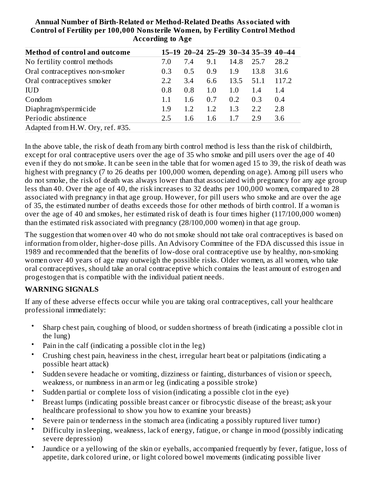| <b>Method of control and outcome</b> |     |     |     | 15-19 20-24 25-29 30-34 35-39 40-44 |      |       |
|--------------------------------------|-----|-----|-----|-------------------------------------|------|-------|
| No fertility control methods         | 7.0 | 7.4 | 9.1 | 14.8                                | 25.7 | 28.2  |
| Oral contraceptives non-smoker       | 0.3 | 0.5 | 0.9 | 1.9                                 | 13.8 | 31.6  |
| Oral contraceptives smoker           | 2.2 | 3.4 | 6.6 | 13.5                                | 51.1 | 117.2 |
| <b>IUD</b>                           | 0.8 | 0.8 | 1.0 | 1.0                                 | 1.4  | 1.4   |
| Condom                               | 1.1 | 1.6 | 0.7 | 0.2                                 | 0.3  | 0.4   |
| Diaphragm/spermicide                 | 1.9 | 1.2 | 1.2 | 1.3                                 | 2.2  | 2.8   |
| Periodic abstinence                  | 2.5 | 1.6 | 1.6 | 1.7                                 | 2.9  | 3.6   |
| Adapted from H.W. Ory, ref. #35.     |     |     |     |                                     |      |       |

**Annual Number of Birth-Related or Method-Related Deaths Associated with Control of Fertility per 100,000 Nonsterile Women, by Fertility Control Method According to Age**

In the above table, the risk of death from any birth control method is less than the risk of childbirth, except for oral contraceptive users over the age of 35 who smoke and pill users over the age of 40 even if they do not smoke. It can be seen in the table that for women aged 15 to 39, the risk of death was highest with pregnancy (7 to 26 deaths per 100,000 women, depending on age). Among pill users who do not smoke, the risk of death was always lower than that associated with pregnancy for any age group less than 40. Over the age of 40, the risk increases to 32 deaths per 100,000 women, compared to 28 associated with pregnancy in that age group. However, for pill users who smoke and are over the age of 35, the estimated number of deaths exceeds those for other methods of birth control. If a woman is over the age of 40 and smokes, her estimated risk of death is four times higher (117/100,000 women) than the estimated risk associated with pregnancy (28/100,000 women) in that age group.

The suggestion that women over 40 who do not smoke should not take oral contraceptives is based on information from older, higher-dose pills. An Advisory Committee of the FDA discussed this issue in 1989 and recommended that the benefits of low-dose oral contraceptive use by healthy, non-smoking women over 40 years of age may outweigh the possible risks. Older women, as all women, who take oral contraceptives, should take an oral contraceptive which contains the least amount of estrogen and progestogen that is compatible with the individual patient needs.

# **WARNING SIGNALS**

If any of these adverse effects occur while you are taking oral contraceptives, call your healthcare professional immediately:

- Sharp chest pain, coughing of blood, or sudden shortness of breath (indicating a possible clot in the lung)
- Pain in the calf (indicating a possible clot in the leg)
- Crushing chest pain, heaviness in the chest, irregular heart beat or palpitations (indicating a possible heart attack)
- Sudden severe headache or vomiting, dizziness or fainting, disturbances of vision or speech, weakness, or numbness in an arm or leg (indicating a possible stroke)
- Sudden partial or complete loss of vision (indicating a possible clot in the eye)
- Breast lumps (indicating possible breast cancer or fibrocystic disease of the breast; ask your healthcare professional to show you how to examine your breasts)
- Severe pain or tenderness in the stomach area (indicating a possibly ruptured liver tumor)
- Difficulty in sleeping, weakness, lack of energy, fatigue, or change in mood (possibly indicating severe depression)
- Jaundice or a yellowing of the skin or eyeballs, accompanied frequently by fever, fatigue, loss of appetite, dark colored urine, or light colored bowel movements (indicating possible liver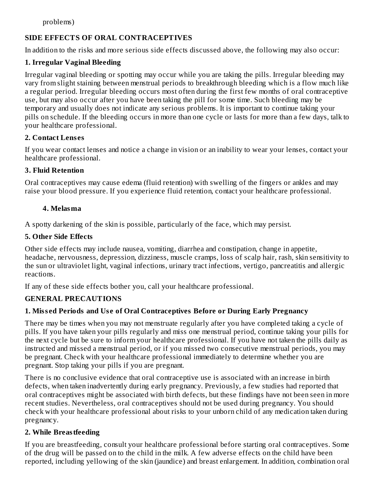problems)

# **SIDE EFFECTS OF ORAL CONTRACEPTIVES**

In addition to the risks and more serious side effects discussed above, the following may also occur:

#### **1. Irregular Vaginal Bleeding**

Irregular vaginal bleeding or spotting may occur while you are taking the pills. Irregular bleeding may vary from slight staining between menstrual periods to breakthrough bleeding which is a flow much like a regular period. Irregular bleeding occurs most often during the first few months of oral contraceptive use, but may also occur after you have been taking the pill for some time. Such bleeding may be temporary and usually does not indicate any serious problems. It is important to continue taking your pills on schedule. If the bleeding occurs in more than one cycle or lasts for more than a few days, talk to your healthcare professional.

#### **2. Contact Lens es**

If you wear contact lenses and notice a change in vision or an inability to wear your lenses, contact your healthcare professional.

#### **3. Fluid Retention**

Oral contraceptives may cause edema (fluid retention) with swelling of the fingers or ankles and may raise your blood pressure. If you experience fluid retention, contact your healthcare professional.

#### **4. Melasma**

A spotty darkening of the skin is possible, particularly of the face, which may persist.

#### **5. Other Side Effects**

Other side effects may include nausea, vomiting, diarrhea and constipation, change in appetite, headache, nervousness, depression, dizziness, muscle cramps, loss of scalp hair, rash, skin sensitivity to the sun or ultraviolet light, vaginal infections, urinary tract infections, vertigo, pancreatitis and allergic reactions.

If any of these side effects bother you, call your healthcare professional.

# **GENERAL PRECAUTIONS**

# **1. Miss ed Periods and Us e of Oral Contraceptives Before or During Early Pregnancy**

There may be times when you may not menstruate regularly after you have completed taking a cycle of pills. If you have taken your pills regularly and miss one menstrual period, continue taking your pills for the next cycle but be sure to inform your healthcare professional. If you have not taken the pills daily as instructed and missed a menstrual period, or if you missed two consecutive menstrual periods, you may be pregnant. Check with your healthcare professional immediately to determine whether you are pregnant. Stop taking your pills if you are pregnant.

There is no conclusive evidence that oral contraceptive use is associated with an increase in birth defects, when taken inadvertently during early pregnancy. Previously, a few studies had reported that oral contraceptives might be associated with birth defects, but these findings have not been seen in more recent studies. Nevertheless, oral contraceptives should not be used during pregnancy. You should check with your healthcare professional about risks to your unborn child of any medication taken during pregnancy.

#### **2. While Breastfeeding**

If you are breastfeeding, consult your healthcare professional before starting oral contraceptives. Some of the drug will be passed on to the child in the milk. A few adverse effects on the child have been reported, including yellowing of the skin (jaundice) and breast enlargement. In addition, combination oral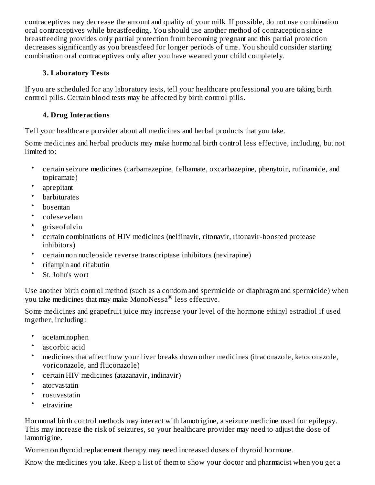contraceptives may decrease the amount and quality of your milk. If possible, do not use combination oral contraceptives while breastfeeding. You should use another method of contraception since breastfeeding provides only partial protection from becoming pregnant and this partial protection decreases significantly as you breastfeed for longer periods of time. You should consider starting combination oral contraceptives only after you have weaned your child completely.

# **3. Laboratory Tests**

If you are scheduled for any laboratory tests, tell your healthcare professional you are taking birth control pills. Certain blood tests may be affected by birth control pills.

# **4. Drug Interactions**

Tell your healthcare provider about all medicines and herbal products that you take.

Some medicines and herbal products may make hormonal birth control less effective, including, but not limited to:

- certain seizure medicines (carbamazepine, felbamate, oxcarbazepine, phenytoin, rufinamide, and topiramate)
- aprepitant
- barbiturates
- bosentan
- colesevelam
- griseofulvin
- certain combinations of HIV medicines (nelfinavir, ritonavir, ritonavir-boosted protease inhibitors)
- certain non nucleoside reverse transcriptase inhibitors (nevirapine)
- rifampin and rifabutin
- St. John's wort

Use another birth control method (such as a condom and spermicide or diaphragm and spermicide) when you take medicines that may make MonoNessa $^{\circledR}$  less effective.

Some medicines and grapefruit juice may increase your level of the hormone ethinyl estradiol if used together, including:

- acetaminophen
- ascorbic acid
- medicines that affect how your liver breaks down other medicines (itraconazole, ketoconazole, voriconazole, and fluconazole)
- certain HIV medicines (atazanavir, indinavir)
- atorvastatin
- rosuvastatin
- etravirine

Hormonal birth control methods may interact with lamotrigine, a seizure medicine used for epilepsy. This may increase the risk of seizures, so your healthcare provider may need to adjust the dose of lamotrigine.

Women on thyroid replacement therapy may need increased doses of thyroid hormone.

Know the medicines you take. Keep a list of them to show your doctor and pharmacist when you get a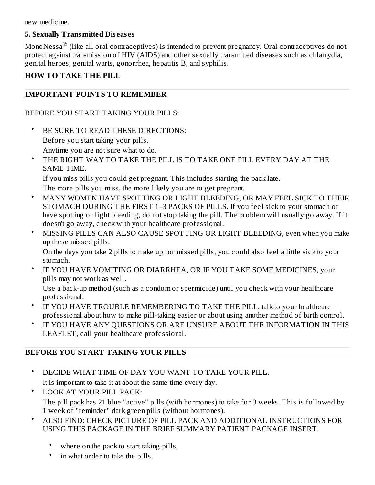new medicine.

# **5. Sexually Transmitted Dis eas es**

MonoNessa $^\circledR$  (like all oral contraceptives) is intended to prevent pregnancy. Oral contraceptives do not protect against transmission of HIV (AIDS) and other sexually transmitted diseases such as chlamydia, genital herpes, genital warts, gonorrhea, hepatitis B, and syphilis.

## **HOW TO TAKE THE PILL**

#### **IMPORTANT POINTS TO REMEMBER**

## BEFORE YOU START TAKING YOUR PILLS:

• BE SURE TO READ THESE DIRECTIONS: Before you start taking your pills. Anytime you are not sure what to do.

• THE RIGHT WAY TO TAKE THE PILL IS TO TAKE ONE PILL EVERY DAY AT THE SAME TIME.

If you miss pills you could get pregnant. This includes starting the pack late.

The more pills you miss, the more likely you are to get pregnant.

- MANY WOMEN HAVE SPOTTING OR LIGHT BLEEDING, OR MAY FEEL SICK TO THEIR STOMACH DURING THE FIRST 1–3 PACKS OF PILLS. If you feel sick to your stomach or have spotting or light bleeding, do not stop taking the pill. The problem will usually go away. If it doesn't go away, check with your healthcare professional.
- MISSING PILLS CAN ALSO CAUSE SPOTTING OR LIGHT BLEEDING, even when you make up these missed pills.

On the days you take 2 pills to make up for missed pills, you could also feel a little sick to your stomach.

• IF YOU HAVE VOMITING OR DIARRHEA, OR IF YOU TAKE SOME MEDICINES, your pills may not work as well.

Use a back-up method (such as a condom or spermicide) until you check with your healthcare professional.

- IF YOU HAVE TROUBLE REMEMBERING TO TAKE THE PILL, talk to your healthcare professional about how to make pill-taking easier or about using another method of birth control.
- IF YOU HAVE ANY QUESTIONS OR ARE UNSURE ABOUT THE INFORMATION IN THIS LEAFLET, call your healthcare professional.

# **BEFORE YOU START TAKING YOUR PILLS**

- DECIDE WHAT TIME OF DAY YOU WANT TO TAKE YOUR PILL. It is important to take it at about the same time every day.
- LOOK AT YOUR PILL PACK: The pill pack has 21 blue "active" pills (with hormones) to take for 3 weeks. This is followed by 1 week of "reminder" dark green pills (without hormones).
- ALSO FIND: CHECK PICTURE OF PILL PACK AND ADDITIONAL INSTRUCTIONS FOR USING THIS PACKAGE IN THE BRIEF SUMMARY PATIENT PACKAGE INSERT.
	- where on the pack to start taking pills,
	- in what order to take the pills.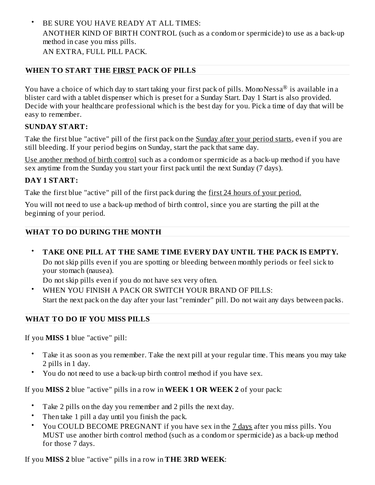• BE SURE YOU HAVE READY AT ALL TIMES: ANOTHER KIND OF BIRTH CONTROL (such as a condom or spermicide) to use as a back-up method in case you miss pills. AN EXTRA, FULL PILL PACK.

## **WHEN TO START THE FIRST PACK OF PILLS**

You have a choice of which day to start taking your first pack of pills. MonoNessa $^\circledR$  is available in a blister card with a tablet dispenser which is preset for a Sunday Start. Day 1 Start is also provided. Decide with your healthcare professional which is the best day for you. Pick a time of day that will be easy to remember.

# **SUNDAY START:**

Take the first blue "active" pill of the first pack on the Sunday after your period starts, even if you are still bleeding. If your period begins on Sunday, start the pack that same day.

Use another method of birth control such as a condom or spermicide as a back-up method if you have sex anytime from the Sunday you start your first pack until the next Sunday (7 days).

#### **DAY 1 START:**

Take the first blue "active" pill of the first pack during the first 24 hours of your period.

You will not need to use a back-up method of birth control, since you are starting the pill at the beginning of your period.

# **WHAT TO DO DURING THE MONTH**

• **TAKE ONE PILL AT THE SAME TIME EVERY DAY UNTIL THE PACK IS EMPTY.** Do not skip pills even if you are spotting or bleeding between monthly periods or feel sick to your stomach (nausea).

Do not skip pills even if you do not have sex very often.

• WHEN YOU FINISH A PACK OR SWITCH YOUR BRAND OF PILLS: Start the next pack on the day after your last "reminder" pill. Do not wait any days between packs.

# **WHAT TO DO IF YOU MISS PILLS**

If you **MISS 1** blue "active" pill:

- Take it as soon as you remember. Take the next pill at your regular time. This means you may take 2 pills in 1 day.
- You do not need to use a back-up birth control method if you have sex.

If you **MISS 2** blue "active" pills in a row in **WEEK 1 OR WEEK 2** of your pack:

- Take 2 pills on the day you remember and 2 pills the next day.
- Then take 1 pill a day until you finish the pack.
- You COULD BECOME PREGNANT if you have sex in the 7 days after you miss pills. You MUST use another birth control method (such as a condom or spermicide) as a back-up method for those 7 days.

If you **MISS 2** blue "active" pills in a row in **THE 3RD WEEK**: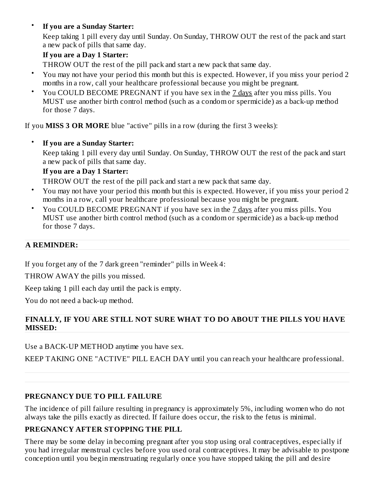#### • **If you are a Sunday Starter:**

Keep taking 1 pill every day until Sunday. On Sunday, THROW OUT the rest of the pack and start a new pack of pills that same day.

#### **If you are a Day 1 Starter:**

THROW OUT the rest of the pill pack and start a new pack that same day.

- You may not have your period this month but this is expected. However, if you miss your period 2 months in a row, call your healthcare professional because you might be pregnant.
- You COULD BECOME PREGNANT if you have sex in the 7 days after you miss pills. You MUST use another birth control method (such as a condom or spermicide) as a back-up method for those 7 days.

If you **MISS 3 OR MORE** blue "active" pills in a row (during the first 3 weeks):

• **If you are a Sunday Starter:**

Keep taking 1 pill every day until Sunday. On Sunday, THROW OUT the rest of the pack and start a new pack of pills that same day.

# **If you are a Day 1 Starter:**

THROW OUT the rest of the pill pack and start a new pack that same day.

- You may not have your period this month but this is expected. However, if you miss your period 2 months in a row, call your healthcare professional because you might be pregnant.
- You COULD BECOME PREGNANT if you have sex in the 7 days after you miss pills. You MUST use another birth control method (such as a condom or spermicide) as a back-up method for those 7 days.

## **A REMINDER:**

If you forget any of the 7 dark green "reminder" pills in Week 4:

THROW AWAY the pills you missed.

Keep taking 1 pill each day until the pack is empty.

You do not need a back-up method.

#### **FINALLY, IF YOU ARE STILL NOT SURE WHAT TO DO ABOUT THE PILLS YOU HAVE MISSED:**

Use a BACK-UP METHOD anytime you have sex.

KEEP TAKING ONE "ACTIVE" PILL EACH DAY until you can reach your healthcare professional.

#### **PREGNANCY DUE TO PILL FAILURE**

The incidence of pill failure resulting in pregnancy is approximately 5%, including women who do not always take the pills exactly as directed. If failure does occur, the risk to the fetus is minimal.

# **PREGNANCY AFTER STOPPING THE PILL**

There may be some delay in becoming pregnant after you stop using oral contraceptives, especially if you had irregular menstrual cycles before you used oral contraceptives. It may be advisable to postpone conception until you begin menstruating regularly once you have stopped taking the pill and desire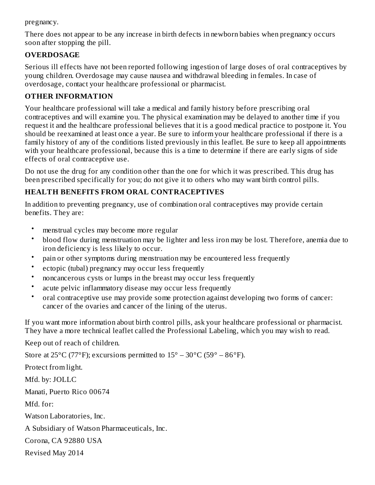pregnancy.

There does not appear to be any increase in birth defects in newborn babies when pregnancy occurs soon after stopping the pill.

# **OVERDOSAGE**

Serious ill effects have not been reported following ingestion of large doses of oral contraceptives by young children. Overdosage may cause nausea and withdrawal bleeding in females. In case of overdosage, contact your healthcare professional or pharmacist.

# **OTHER INFORMATION**

Your healthcare professional will take a medical and family history before prescribing oral contraceptives and will examine you. The physical examination may be delayed to another time if you request it and the healthcare professional believes that it is a good medical practice to postpone it. You should be reexamined at least once a year. Be sure to inform your healthcare professional if there is a family history of any of the conditions listed previously in this leaflet. Be sure to keep all appointments with your healthcare professional, because this is a time to determine if there are early signs of side effects of oral contraceptive use.

Do not use the drug for any condition other than the one for which it was prescribed. This drug has been prescribed specifically for you; do not give it to others who may want birth control pills.

# **HEALTH BENEFITS FROM ORAL CONTRACEPTIVES**

In addition to preventing pregnancy, use of combination oral contraceptives may provide certain benefits. They are:

- menstrual cycles may become more regular
- blood flow during menstruation may be lighter and less iron may be lost. Therefore, anemia due to iron deficiency is less likely to occur.
- pain or other symptoms during menstruation may be encountered less frequently
- ectopic (tubal) pregnancy may occur less frequently
- noncancerous cysts or lumps in the breast may occur less frequently
- acute pelvic inflammatory disease may occur less frequently
- oral contraceptive use may provide some protection against developing two forms of cancer: cancer of the ovaries and cancer of the lining of the uterus.

If you want more information about birth control pills, ask your healthcare professional or pharmacist. They have a more technical leaflet called the Professional Labeling, which you may wish to read.

Keep out of reach of children.

Store at  $25^{\circ}$ C (77°F); excursions permitted to  $15^{\circ}$  –  $30^{\circ}$ C (59° –  $86^{\circ}$ F).

Protect from light.

Mfd. by: JOLLC

Manati, Puerto Rico 00674

Mfd. for:

Watson Laboratories, Inc.

A Subsidiary of Watson Pharmaceuticals, Inc.

Corona, CA 92880 USA

Revised May 2014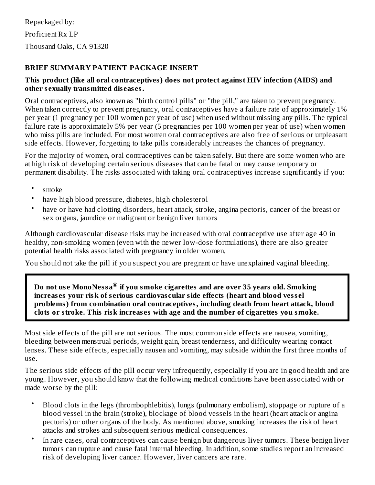Repackaged by: Proficient Rx LP Thousand Oaks, CA 91320

#### **BRIEF SUMMARY PATIENT PACKAGE INSERT**

#### **This product (like all oral contraceptives) does not protect against HIV infection (AIDS) and other s exually transmitted dis eas es.**

Oral contraceptives, also known as "birth control pills" or "the pill," are taken to prevent pregnancy. When taken correctly to prevent pregnancy, oral contraceptives have a failure rate of approximately 1% per year (1 pregnancy per 100 women per year of use) when used without missing any pills. The typical failure rate is approximately 5% per year (5 pregnancies per 100 women per year of use) when women who miss pills are included. For most women oral contraceptives are also free of serious or unpleasant side effects. However, forgetting to take pills considerably increases the chances of pregnancy.

For the majority of women, oral contraceptives can be taken safely. But there are some women who are at high risk of developing certain serious diseases that can be fatal or may cause temporary or permanent disability. The risks associated with taking oral contraceptives increase significantly if you:

- smoke
- have high blood pressure, diabetes, high cholesterol
- have or have had clotting disorders, heart attack, stroke, angina pectoris, cancer of the breast or sex organs, jaundice or malignant or benign liver tumors

Although cardiovascular disease risks may be increased with oral contraceptive use after age 40 in healthy, non-smoking women (even with the newer low-dose formulations), there are also greater potential health risks associated with pregnancy in older women.

You should not take the pill if you suspect you are pregnant or have unexplained vaginal bleeding.

**Do not us e MonoNessa if you smoke cigarettes and are over 35 years old. Smoking ® increas es your risk of s erious cardiovas cular side effects (heart and blood vess el problems) from combination oral contraceptives, including death from heart attack, blood clots or stroke. This risk increas es with age and the number of cigarettes you smoke.**

Most side effects of the pill are not serious. The most common side effects are nausea, vomiting, bleeding between menstrual periods, weight gain, breast tenderness, and difficulty wearing contact lenses. These side effects, especially nausea and vomiting, may subside within the first three months of use.

The serious side effects of the pill occur very infrequently, especially if you are in good health and are young. However, you should know that the following medical conditions have been associated with or made worse by the pill:

- Blood clots in the legs (thrombophlebitis), lungs (pulmonary embolism), stoppage or rupture of a blood vessel in the brain (stroke), blockage of blood vessels in the heart (heart attack or angina pectoris) or other organs of the body. As mentioned above, smoking increases the risk of heart attacks and strokes and subsequent serious medical consequences.
- In rare cases, oral contraceptives can cause benign but dangerous liver tumors. These benign liver tumors can rupture and cause fatal internal bleeding. In addition, some studies report an increased risk of developing liver cancer. However, liver cancers are rare.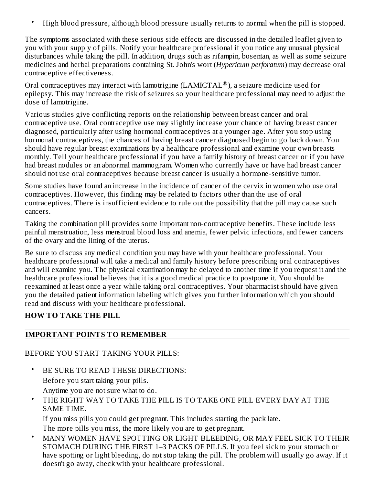• High blood pressure, although blood pressure usually returns to normal when the pill is stopped.

The symptoms associated with these serious side effects are discussed in the detailed leaflet given to you with your supply of pills. Notify your healthcare professional if you notice any unusual physical disturbances while taking the pill. In addition, drugs such as rifampin, bosentan, as well as some seizure medicines and herbal preparations containing St. John's wort (*Hypericum perforatum*) may decrease oral contraceptive effectiveness.

Oral contraceptives may interact with lamotrigine (LAMICTAL $^{\circledR}$ ), a seizure medicine used for epilepsy. This may increase the risk of seizures so your healthcare professional may need to adjust the dose of lamotrigine.

Various studies give conflicting reports on the relationship between breast cancer and oral contraceptive use. Oral contraceptive use may slightly increase your chance of having breast cancer diagnosed, particularly after using hormonal contraceptives at a younger age. After you stop using hormonal contraceptives, the chances of having breast cancer diagnosed begin to go back down. You should have regular breast examinations by a healthcare professional and examine your own breasts monthly. Tell your healthcare professional if you have a family history of breast cancer or if you have had breast nodules or an abnormal mammogram. Women who currently have or have had breast cancer should not use oral contraceptives because breast cancer is usually a hormone-sensitive tumor.

Some studies have found an increase in the incidence of cancer of the cervix in women who use oral contraceptives. However, this finding may be related to factors other than the use of oral contraceptives. There is insufficient evidence to rule out the possibility that the pill may cause such cancers.

Taking the combination pill provides some important non-contraceptive benefits. These include less painful menstruation, less menstrual blood loss and anemia, fewer pelvic infections, and fewer cancers of the ovary and the lining of the uterus.

Be sure to discuss any medical condition you may have with your healthcare professional. Your healthcare professional will take a medical and family history before prescribing oral contraceptives and will examine you. The physical examination may be delayed to another time if you request it and the healthcare professional believes that it is a good medical practice to postpone it. You should be reexamined at least once a year while taking oral contraceptives. Your pharmacist should have given you the detailed patient information labeling which gives you further information which you should read and discuss with your healthcare professional.

#### **HOW TO TAKE THE PILL**

#### **IMPORTANT POINTS TO REMEMBER**

BEFORE YOU START TAKING YOUR PILLS:

- BE SURE TO READ THESE DIRECTIONS: Before you start taking your pills. Anytime you are not sure what to do.
- THE RIGHT WAY TO TAKE THE PILL IS TO TAKE ONE PILL EVERY DAY AT THE SAME TIME.

If you miss pills you could get pregnant. This includes starting the pack late.

The more pills you miss, the more likely you are to get pregnant.

• MANY WOMEN HAVE SPOTTING OR LIGHT BLEEDING, OR MAY FEEL SICK TO THEIR STOMACH DURING THE FIRST 1–3 PACKS OF PILLS. If you feel sick to your stomach or have spotting or light bleeding, do not stop taking the pill. The problem will usually go away. If it doesn't go away, check with your healthcare professional.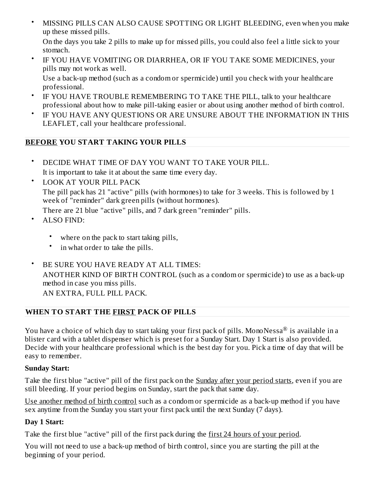• MISSING PILLS CAN ALSO CAUSE SPOTTING OR LIGHT BLEEDING, even when you make up these missed pills.

On the days you take 2 pills to make up for missed pills, you could also feel a little sick to your stomach.

• IF YOU HAVE VOMITING OR DIARRHEA, OR IF YOU TAKE SOME MEDICINES, your pills may not work as well.

Use a back-up method (such as a condom or spermicide) until you check with your healthcare professional.

- IF YOU HAVE TROUBLE REMEMBERING TO TAKE THE PILL, talk to your healthcare professional about how to make pill-taking easier or about using another method of birth control.
- IF YOU HAVE ANY QUESTIONS OR ARE UNSURE ABOUT THE INFORMATION IN THIS LEAFLET, call your healthcare professional.

#### **BEFORE YOU START TAKING YOUR PILLS**

• DECIDE WHAT TIME OF DAY YOU WANT TO TAKE YOUR PILL.

It is important to take it at about the same time every day.

- LOOK AT YOUR PILL PACK The pill pack has 21 "active" pills (with hormones) to take for 3 weeks. This is followed by 1 week of "reminder" dark green pills (without hormones). There are 21 blue "active" pills, and 7 dark green "reminder" pills.
- ALSO FIND:
	- where on the pack to start taking pills,
	- in what order to take the pills.
- BE SURE YOU HAVE READY AT ALL TIMES: ANOTHER KIND OF BIRTH CONTROL (such as a condom or spermicide) to use as a back-up method in case you miss pills. AN EXTRA, FULL PILL PACK.

# **WHEN TO START THE FIRST PACK OF PILLS**

You have a choice of which day to start taking your first pack of pills. MonoNessa $^\circledR$  is available in a blister card with a tablet dispenser which is preset for a Sunday Start. Day 1 Start is also provided. Decide with your healthcare professional which is the best day for you. Pick a time of day that will be easy to remember.

#### **Sunday Start:**

Take the first blue "active" pill of the first pack on the Sunday after your period starts, even if you are still bleeding. If your period begins on Sunday, start the pack that same day.

Use another method of birth control such as a condom or spermicide as a back-up method if you have sex anytime from the Sunday you start your first pack until the next Sunday (7 days).

# **Day 1 Start:**

Take the first blue "active" pill of the first pack during the first 24 hours of your period.

You will not need to use a back-up method of birth control, since you are starting the pill at the beginning of your period.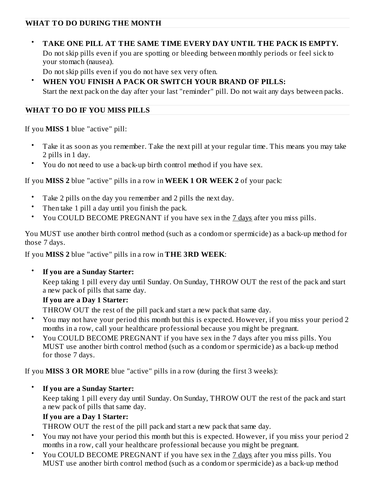# **WHAT TO DO DURING THE MONTH**

• **TAKE ONE PILL AT THE SAME TIME EVERY DAY UNTIL THE PACK IS EMPTY.** Do not skip pills even if you are spotting or bleeding between monthly periods or feel sick to your stomach (nausea).

Do not skip pills even if you do not have sex very often.

• **WHEN YOU FINISH A PACK OR SWITCH YOUR BRAND OF PILLS:**

Start the next pack on the day after your last "reminder" pill. Do not wait any days between packs.

#### **WHAT TO DO IF YOU MISS PILLS**

If you **MISS 1** blue "active" pill:

- Take it as soon as you remember. Take the next pill at your regular time. This means you may take 2 pills in 1 day.
- You do not need to use a back-up birth control method if you have sex.

If you **MISS 2** blue "active" pills in a row in **WEEK 1 OR WEEK 2** of your pack:

- Take 2 pills on the day you remember and 2 pills the next day.
- Then take 1 pill a day until you finish the pack.
- You COULD BECOME PREGNANT if you have sex in the  $\frac{7 \text{ days}}{2}$  after you miss pills.

You MUST use another birth control method (such as a condom or spermicide) as a back-up method for those 7 days.

If you **MISS 2** blue "active" pills in a row in **THE 3RD WEEK**:

#### • **If you are a Sunday Starter:**

Keep taking 1 pill every day until Sunday. On Sunday, THROW OUT the rest of the pack and start a new pack of pills that same day.

#### **If you are a Day 1 Starter:**

THROW OUT the rest of the pill pack and start a new pack that same day.

- You may not have your period this month but this is expected. However, if you miss your period 2 months in a row, call your healthcare professional because you might be pregnant.
- You COULD BECOME PREGNANT if you have sex in the 7 days after you miss pills. You MUST use another birth control method (such as a condom or spermicide) as a back-up method for those 7 days.

If you **MISS 3 OR MORE** blue "active" pills in a row (during the first 3 weeks):

• **If you are a Sunday Starter:**

Keep taking 1 pill every day until Sunday. On Sunday, THROW OUT the rest of the pack and start a new pack of pills that same day.

#### **If you are a Day 1 Starter:**

THROW OUT the rest of the pill pack and start a new pack that same day.

- You may not have your period this month but this is expected. However, if you miss your period 2 months in a row, call your healthcare professional because you might be pregnant.
- You COULD BECOME PREGNANT if you have sex in the 7 days after you miss pills. You MUST use another birth control method (such as a condom or spermicide) as a back-up method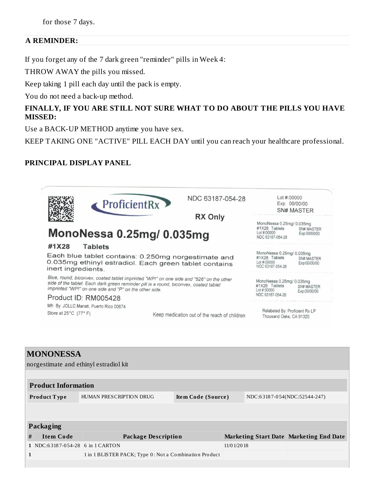for those 7 days.

#### **A REMINDER:**

If you forget any of the 7 dark green "reminder" pills in Week 4:

THROW AWAY the pills you missed.

Keep taking 1 pill each day until the pack is empty.

You do not need a back-up method.

#### **FINALLY, IF YOU ARE STILL NOT SURE WHAT TO DO ABOUT THE PILLS YOU HAVE MISSED:**

Use a BACK-UP METHOD anytime you have sex.

KEEP TAKING ONE "ACTIVE" PILL EACH DAY until you can reach your healthcare professional.

#### **PRINCIPAL DISPLAY PANEL**

|                                                        | NDC 63187-054-28<br>ProficientRx                                                                                                                                                 | Lot #:00000                                                                   | Exp. 00/00/00<br>SN# MASTER |
|--------------------------------------------------------|----------------------------------------------------------------------------------------------------------------------------------------------------------------------------------|-------------------------------------------------------------------------------|-----------------------------|
|                                                        | RX Only<br>MonoNessa 0.25mg/0.035mg                                                                                                                                              | MonoNessa 0.25mg/ 0.035mg<br>#1X28 Tablets<br>Lot #:00000<br>NDC 63187-054-28 | SN# MASTER<br>Exp:00/00/00  |
| #1X28<br><b>Tablets</b>                                |                                                                                                                                                                                  |                                                                               |                             |
| inert ingredients.                                     | Each blue tablet contains: 0.250mg norgestimate and<br>0.035mg ethinyl estradiol. Each green tablet contains                                                                     | MonoNessa 0.25mg/ 0.035mg<br>#1X28 Tablets<br>Lot #:00000<br>NDC 63187-054-28 | SN# MASTER<br>Exp:00/00/00  |
| imprinted "WPI" on one side and "P" on the other side. | Blue, round, biconvex, coated tablet imprinted "WPI" on one side and "526" on the other<br>side of the tablet. Each dark green reminder pill is a round, biconvex, coated tablet | MonoNessa 0.25mg/ 0.035mg<br>#1X28 Tablets<br>Lot #:00000                     | SN# MASTER<br>Exp:00/00/00  |
| Product ID: RM005428                                   |                                                                                                                                                                                  | NDC 63187-054-28                                                              |                             |
| Mfr. By: JOLLC Manati, Puerto Rico 00674               |                                                                                                                                                                                  |                                                                               |                             |
| Store at $25^{\circ}$ C $(77^{\circ}$ F)               | Keep medication out of the reach of children                                                                                                                                     | Relabeled By: Proficient Rx LP<br>Thousand Oaks, CA 91320                     |                             |

#### **MONONESSA**

norgestimate and ethinyl estradiol kit

|   | <b>Product Information</b>                                           |                                                        |                              |              |  |                                         |  |
|---|----------------------------------------------------------------------|--------------------------------------------------------|------------------------------|--------------|--|-----------------------------------------|--|
|   | HUMAN PRESCRIPTION DRUG<br><b>Product Type</b><br>Item Code (Source) |                                                        | NDC:63187-054(NDC:52544-247) |              |  |                                         |  |
|   |                                                                      |                                                        |                              |              |  |                                         |  |
|   | <b>Packaging</b>                                                     |                                                        |                              |              |  |                                         |  |
| # | <b>Item Code</b>                                                     |                                                        | <b>Package Description</b>   |              |  | Marketing Start Date Marketing End Date |  |
|   | 1 NDC:63187-054-28 6 in 1 CARTON                                     |                                                        |                              | 11/0 1/20 18 |  |                                         |  |
| 1 |                                                                      | 1 in 1 BLISTER PACK; Type 0: Not a Combination Product |                              |              |  |                                         |  |
|   |                                                                      |                                                        |                              |              |  |                                         |  |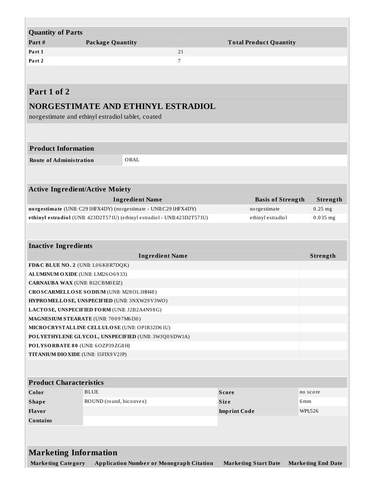| Part#                                                                      | <b>Package Quantity</b> |         | <b>Total Product Quantity</b> |                          |            |
|----------------------------------------------------------------------------|-------------------------|---------|-------------------------------|--------------------------|------------|
| Part 1<br>Part 2                                                           |                         | 21<br>7 |                               |                          |            |
|                                                                            |                         |         |                               |                          |            |
|                                                                            |                         |         |                               |                          |            |
| Part 1 of 2                                                                |                         |         |                               |                          |            |
| NORGESTIMATE AND ETHINYL ESTRADIOL                                         |                         |         |                               |                          |            |
| norgestimate and ethinyl estradiol tablet, coated                          |                         |         |                               |                          |            |
|                                                                            |                         |         |                               |                          |            |
| <b>Product Information</b>                                                 |                         |         |                               |                          |            |
| <b>Route of Administration</b>                                             | ORAL                    |         |                               |                          |            |
|                                                                            |                         |         |                               |                          |            |
| <b>Active Ingredient/Active Moiety</b>                                     |                         |         |                               |                          |            |
|                                                                            | <b>Ingredient Name</b>  |         |                               | <b>Basis of Strength</b> | Strength   |
| norgestimate (UNII: C291HFX4DY) (norgestimate - UNII:C291HFX4DY)           |                         |         | norgestimate                  |                          | $0.25$ mg  |
| ethinyl estradiol (UNII: 423D2T571U) (ethinyl estradiol - UNII:423D2T571U) |                         |         | ethinyl estradiol             |                          | $0.035$ mg |
|                                                                            |                         |         |                               |                          |            |
| <b>Inactive Ingredients</b>                                                |                         |         |                               |                          |            |
|                                                                            | <b>Ingredient Name</b>  |         |                               |                          | Strength   |
| FD&C BLUE NO. 2 (UNII: L06K8R7DQK)                                         |                         |         |                               |                          |            |
| ALUMINUM OXIDE (UNII: LMI26O6933)                                          |                         |         |                               |                          |            |
| <b>CARNAUBA WAX (UNII: R12CBM0EIZ)</b>                                     |                         |         |                               |                          |            |
| CROSCARMELLOSE SODIUM (UNII: M28OL1HH48)                                   |                         |         |                               |                          |            |
| HYPROMELLOSE, UNSPECIFIED (UNII: 3NXW29V3WO)                               |                         |         |                               |                          |            |
| LACTOSE, UNSPECIFIED FORM (UNII: J2B2A4N98G)                               |                         |         |                               |                          |            |
| MAGNESIUM STEARATE (UNII: 70097M6I30)                                      |                         |         |                               |                          |            |
| MICRO CRYSTALLINE CELLULO SE (UNII: OP1R32D61U)                            |                         |         |                               |                          |            |
| POLYETHYLENE GLYCOL, UNSPECIFIED (UNII: 3WJQ0SDW1A)                        |                         |         |                               |                          |            |
| POLYSORBATE 80 (UNII: 6OZP39ZG8H)                                          |                         |         |                               |                          |            |
| TITANIUM DIO XIDE (UNII: 15FIX9V2JP)                                       |                         |         |                               |                          |            |
|                                                                            |                         |         |                               |                          |            |
| <b>Product Characteristics</b>                                             |                         |         |                               |                          |            |
| <b>BLUE</b><br>Color                                                       |                         |         | <b>Score</b>                  | no score                 |            |
| <b>Shape</b>                                                               | ROUND (round, biconvex) |         | Size                          | 6 <sub>mm</sub>          |            |
|                                                                            |                         |         | <b>Imprint Code</b>           | WPI;526                  |            |
| Flavor                                                                     |                         |         |                               |                          |            |
| <b>Contains</b>                                                            |                         |         |                               |                          |            |
|                                                                            |                         |         |                               |                          |            |
|                                                                            |                         |         |                               |                          |            |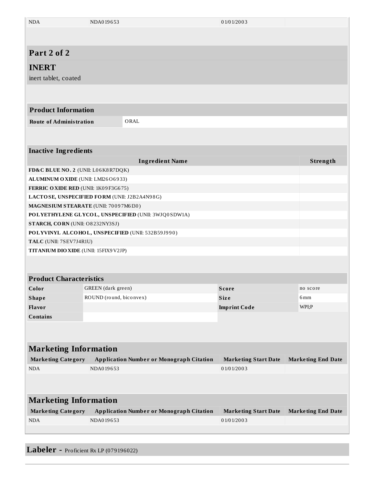| <b>NDA</b>                                                              | NDA019653               |                                                     | 01/01/2003                  |                           |
|-------------------------------------------------------------------------|-------------------------|-----------------------------------------------------|-----------------------------|---------------------------|
|                                                                         |                         |                                                     |                             |                           |
|                                                                         |                         |                                                     |                             |                           |
| Part 2 of 2                                                             |                         |                                                     |                             |                           |
| <b>INERT</b>                                                            |                         |                                                     |                             |                           |
| inert tablet, coated                                                    |                         |                                                     |                             |                           |
|                                                                         |                         |                                                     |                             |                           |
|                                                                         |                         |                                                     |                             |                           |
| <b>Product Information</b>                                              |                         |                                                     |                             |                           |
| <b>Route of Administration</b>                                          |                         | ORAL                                                |                             |                           |
|                                                                         |                         |                                                     |                             |                           |
|                                                                         |                         |                                                     |                             |                           |
| <b>Inactive Ingredients</b>                                             |                         |                                                     |                             |                           |
|                                                                         |                         | <b>Ingredient Name</b>                              |                             | Strength                  |
| FD&C BLUE NO. 2 (UNII: L06K8R7DQK)<br>ALUMINUM OXIDE (UNII: LMI26O6933) |                         |                                                     |                             |                           |
| FERRIC OXIDE RED (UNII: 1K09F3G675)                                     |                         |                                                     |                             |                           |
| LACTOSE, UNSPECIFIED FORM (UNII: J2B2A4N98G)                            |                         |                                                     |                             |                           |
| MAGNESIUM STEARATE (UNII: 70097M6I30)                                   |                         |                                                     |                             |                           |
|                                                                         |                         | POLYETHYLENE GLYCOL, UNSPECIFIED (UNII: 3WJQ0SDW1A) |                             |                           |
| STARCH, CORN (UNII: O8232NY3SJ)                                         |                         |                                                     |                             |                           |
|                                                                         |                         | POLYVINYL ALCOHOL, UNSPECIFIED (UNII: 532B59J990)   |                             |                           |
| TALC (UNII: 7SEV7J4R1U)                                                 |                         |                                                     |                             |                           |
| TITANIUM DIO XIDE (UNII: 15FIX9 V2JP)                                   |                         |                                                     |                             |                           |
|                                                                         |                         |                                                     |                             |                           |
|                                                                         |                         |                                                     |                             |                           |
| <b>Product Characteristics</b>                                          |                         |                                                     |                             |                           |
| Color                                                                   | GREEN (dark green)      |                                                     | <b>Score</b>                | no score                  |
| <b>Shape</b>                                                            | ROUND (round, biconvex) |                                                     | Size                        | 6 <sub>mm</sub>           |
| Flavor                                                                  |                         |                                                     | <b>Imprint Code</b>         | WPI; P                    |
| <b>Contains</b>                                                         |                         |                                                     |                             |                           |
|                                                                         |                         |                                                     |                             |                           |
|                                                                         |                         |                                                     |                             |                           |
| <b>Marketing Information</b>                                            |                         |                                                     |                             |                           |
| <b>Marketing Category</b>                                               |                         | <b>Application Number or Monograph Citation</b>     | <b>Marketing Start Date</b> | <b>Marketing End Date</b> |
| <b>NDA</b>                                                              | NDA019653               |                                                     | 01/01/2003                  |                           |
|                                                                         |                         |                                                     |                             |                           |
|                                                                         |                         |                                                     |                             |                           |
| <b>Marketing Information</b>                                            |                         |                                                     |                             |                           |
| <b>Marketing Category</b>                                               |                         | <b>Application Number or Monograph Citation</b>     | <b>Marketing Start Date</b> | <b>Marketing End Date</b> |
| <b>NDA</b>                                                              | NDA019653               |                                                     | 01/01/2003                  |                           |
|                                                                         |                         |                                                     |                             |                           |

**Labeler -** Proficient Rx LP (079196022)